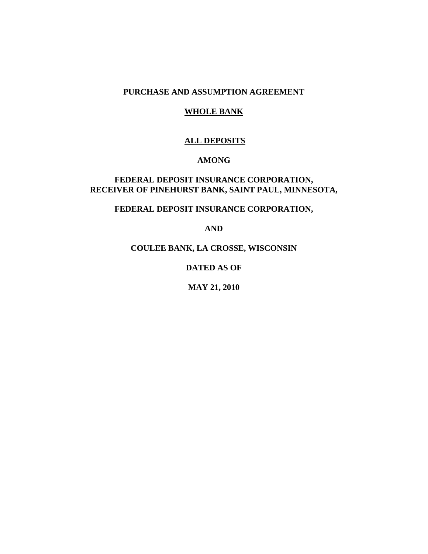#### **PURCHASE AND ASSUMPTION AGREEMENT**

#### **WHOLE BANK**

#### **ALL DEPOSITS**

#### **AMONG**

#### **FEDERAL DEPOSIT INSURANCE CORPORATION, RECEIVER OF PINEHURST BANK, SAINT PAUL, MINNESOTA,**

# **FEDERAL DEPOSIT INSURANCE CORPORATION,**

**AND** 

**COULEE BANK, LA CROSSE, WISCONSIN** 

**DATED AS OF**

**MAY 21, 2010**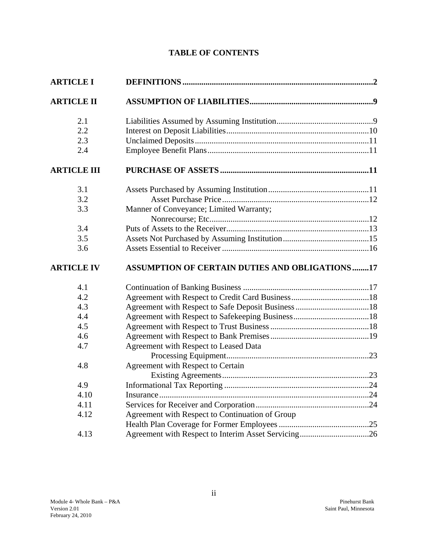# **TABLE OF CONTENTS**

| <b>ARTICLE I</b>   |                                                       |  |  |  |  |
|--------------------|-------------------------------------------------------|--|--|--|--|
| <b>ARTICLE II</b>  |                                                       |  |  |  |  |
| 2.1                |                                                       |  |  |  |  |
| 2.2                |                                                       |  |  |  |  |
| 2.3                |                                                       |  |  |  |  |
| 2.4                |                                                       |  |  |  |  |
| <b>ARTICLE III</b> |                                                       |  |  |  |  |
| 3.1                |                                                       |  |  |  |  |
| 3.2                |                                                       |  |  |  |  |
| 3.3                | Manner of Conveyance; Limited Warranty;               |  |  |  |  |
|                    |                                                       |  |  |  |  |
| 3.4                |                                                       |  |  |  |  |
| 3.5                |                                                       |  |  |  |  |
| 3.6                |                                                       |  |  |  |  |
| <b>ARTICLE IV</b>  | <b>ASSUMPTION OF CERTAIN DUTIES AND OBLIGATIONS17</b> |  |  |  |  |
| 4.1                |                                                       |  |  |  |  |
| 4.2                |                                                       |  |  |  |  |
| 4.3                |                                                       |  |  |  |  |
| 4.4                |                                                       |  |  |  |  |
| 4.5                |                                                       |  |  |  |  |
| 4.6                |                                                       |  |  |  |  |
| 4.7                | Agreement with Respect to Leased Data                 |  |  |  |  |
|                    |                                                       |  |  |  |  |
| 4.8                | Agreement with Respect to Certain                     |  |  |  |  |
|                    |                                                       |  |  |  |  |
| 4.9                |                                                       |  |  |  |  |
| 4.10               |                                                       |  |  |  |  |
| 4.11               |                                                       |  |  |  |  |
| 4.12               | Agreement with Respect to Continuation of Group       |  |  |  |  |
|                    |                                                       |  |  |  |  |
| 4.13               |                                                       |  |  |  |  |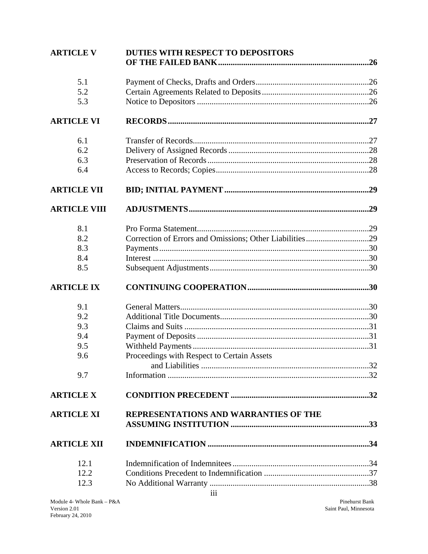| <b>ARTICLE V</b>    | <b>DUTIES WITH RESPECT TO DEPOSITORS</b>   |  |  |  |  |  |
|---------------------|--------------------------------------------|--|--|--|--|--|
| 5.1                 |                                            |  |  |  |  |  |
| 5.2                 |                                            |  |  |  |  |  |
| 5.3                 |                                            |  |  |  |  |  |
| <b>ARTICLE VI</b>   |                                            |  |  |  |  |  |
| 6.1                 |                                            |  |  |  |  |  |
| 6.2                 |                                            |  |  |  |  |  |
| 6.3                 |                                            |  |  |  |  |  |
| 6.4                 |                                            |  |  |  |  |  |
| <b>ARTICLE VII</b>  |                                            |  |  |  |  |  |
| <b>ARTICLE VIII</b> |                                            |  |  |  |  |  |
| 8.1                 |                                            |  |  |  |  |  |
| 8.2                 |                                            |  |  |  |  |  |
| 8.3                 |                                            |  |  |  |  |  |
| 8.4                 |                                            |  |  |  |  |  |
| 8.5                 |                                            |  |  |  |  |  |
| <b>ARTICLE IX</b>   |                                            |  |  |  |  |  |
| 9.1                 |                                            |  |  |  |  |  |
| 9.2                 |                                            |  |  |  |  |  |
| 9.3                 |                                            |  |  |  |  |  |
| 9.4                 |                                            |  |  |  |  |  |
| 9.5                 |                                            |  |  |  |  |  |
| 9.6                 | Proceedings with Respect to Certain Assets |  |  |  |  |  |
|                     |                                            |  |  |  |  |  |
| 9.7                 |                                            |  |  |  |  |  |
| <b>ARTICLE X</b>    |                                            |  |  |  |  |  |
| <b>ARTICLE XI</b>   | REPRESENTATIONS AND WARRANTIES OF THE      |  |  |  |  |  |
| <b>ARTICLE XII</b>  |                                            |  |  |  |  |  |
| 12.1                |                                            |  |  |  |  |  |
| 12.2                |                                            |  |  |  |  |  |
| 12.3                |                                            |  |  |  |  |  |
|                     |                                            |  |  |  |  |  |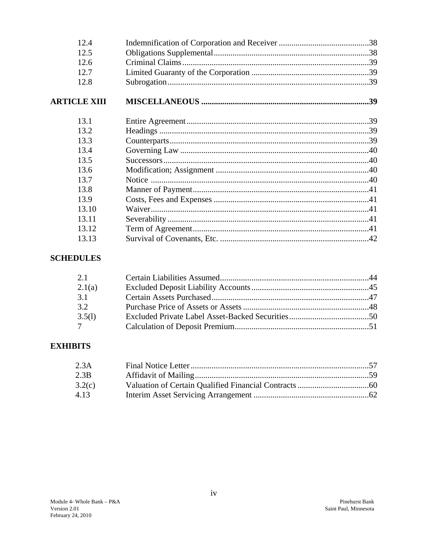| 12.4                |  |
|---------------------|--|
| 12.5                |  |
| 12.6                |  |
| 12.7                |  |
| 12.8                |  |
| <b>ARTICLE XIII</b> |  |
| 13.1                |  |
| 13.2                |  |
| 13.3                |  |
| 13.4                |  |
| 13.5                |  |
| 13.6                |  |
| 13.7                |  |
| 13.8                |  |
| 13.9                |  |
| 13.10               |  |
| 13.11               |  |
| 13.12               |  |
| 13.13               |  |

# **SCHEDULES**

| 2.1    |  |
|--------|--|
| 2.1(a) |  |
| $-3.1$ |  |
| 3.2    |  |
| 3.5(l) |  |
| 7      |  |

# **EXHIBITS**

| 2.3A   |  |
|--------|--|
| 2.3B   |  |
| 3.2(c) |  |
| 4.13   |  |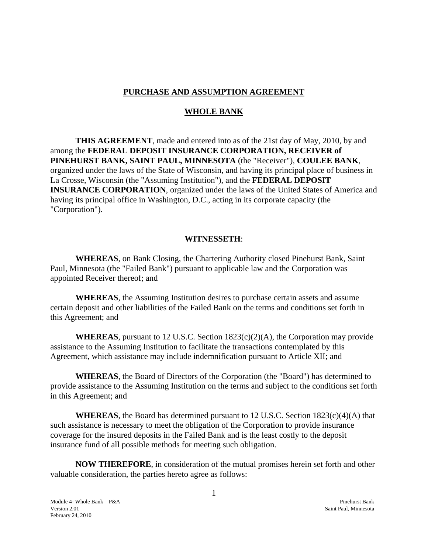#### **PURCHASE AND ASSUMPTION AGREEMENT**

#### **WHOLE BANK**

 **THIS AGREEMENT**, made and entered into as of the 21st day of May, 2010, by and among the **FEDERAL DEPOSIT INSURANCE CORPORATION, RECEIVER of PINEHURST BANK, SAINT PAUL, MINNESOTA** (the "Receiver"), **COULEE BANK**, organized under the laws of the State of Wisconsin, and having its principal place of business in La Crosse, Wisconsin (the "Assuming Institution"), and the **FEDERAL DEPOSIT INSURANCE CORPORATION**, organized under the laws of the United States of America and having its principal office in Washington, D.C., acting in its corporate capacity (the "Corporation").

#### **WITNESSETH**:

**WHEREAS**, on Bank Closing, the Chartering Authority closed Pinehurst Bank, Saint Paul, Minnesota (the "Failed Bank") pursuant to applicable law and the Corporation was appointed Receiver thereof; and

**WHEREAS**, the Assuming Institution desires to purchase certain assets and assume certain deposit and other liabilities of the Failed Bank on the terms and conditions set forth in this Agreement; and

**WHEREAS**, pursuant to 12 U.S.C. Section  $1823(c)(2)(A)$ , the Corporation may provide assistance to the Assuming Institution to facilitate the transactions contemplated by this Agreement, which assistance may include indemnification pursuant to Article XII; and

**WHEREAS**, the Board of Directors of the Corporation (the "Board") has determined to provide assistance to the Assuming Institution on the terms and subject to the conditions set forth in this Agreement; and

**WHEREAS**, the Board has determined pursuant to 12 U.S.C. Section 1823(c)(4)(A) that such assistance is necessary to meet the obligation of the Corporation to provide insurance coverage for the insured deposits in the Failed Bank and is the least costly to the deposit insurance fund of all possible methods for meeting such obligation.

 **NOW THEREFORE**, in consideration of the mutual promises herein set forth and other valuable consideration, the parties hereto agree as follows: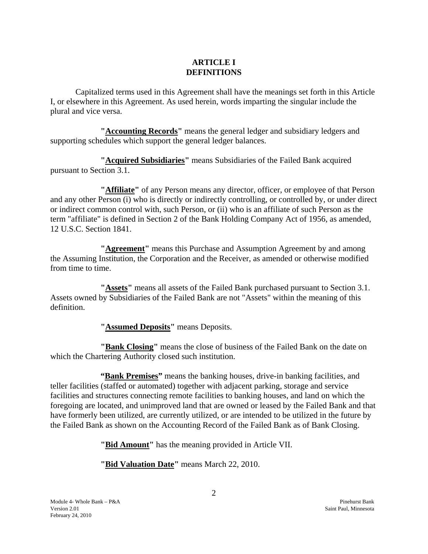# **ARTICLE I DEFINITIONS**

<span id="page-5-1"></span><span id="page-5-0"></span>Capitalized terms used in this Agreement shall have the meanings set forth in this Article I, or elsewhere in this Agreement. As used herein, words imparting the singular include the plural and vice versa.

**"Accounting Records"** means the general ledger and subsidiary ledgers and supporting schedules which support the general ledger balances.

**"Acquired Subsidiaries"** means Subsidiaries of the Failed Bank acquired pursuant to Section 3.1.

**"Affiliate"** of any Person means any director, officer, or employee of that Person and any other Person (i) who is directly or indirectly controlling, or controlled by, or under direct or indirect common control with, such Person, or (ii) who is an affiliate of such Person as the term "affiliate" is defined in Section 2 of the Bank Holding Company Act of 1956, as amended, 12 U.S.C. Section 1841.

**"Agreement"** means this Purchase and Assumption Agreement by and among the Assuming Institution, the Corporation and the Receiver, as amended or otherwise modified from time to time.

**"Assets"** means all assets of the Failed Bank purchased pursuant to Section 3.1. Assets owned by Subsidiaries of the Failed Bank are not "Assets" within the meaning of this definition.

**"Assumed Deposits"** means Deposits.

**"Bank Closing"** means the close of business of the Failed Bank on the date on which the Chartering Authority closed such institution.

**"Bank Premises"** means the banking houses, drive-in banking facilities, and teller facilities (staffed or automated) together with adjacent parking, storage and service facilities and structures connecting remote facilities to banking houses, and land on which the foregoing are located, and unimproved land that are owned or leased by the Failed Bank and that have formerly been utilized, are currently utilized, or are intended to be utilized in the future by the Failed Bank as shown on the Accounting Record of the Failed Bank as of Bank Closing.

**"Bid Amount"** has the meaning provided in Article VII.

**"Bid Valuation Date"** means March 22, 2010.

Module 4- Whole Bank – P&A Pinehurst Bank Version 2.01 Saint Paul, Minnesota February 24, 2010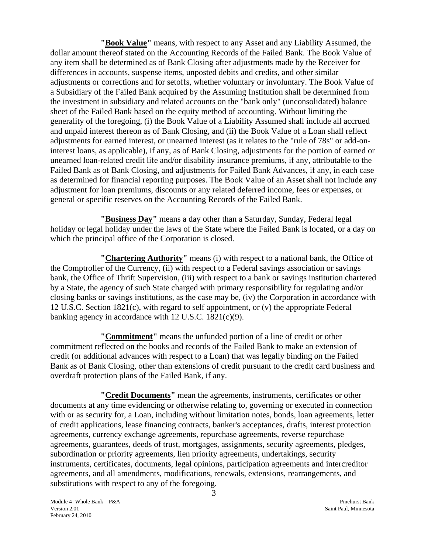<span id="page-6-0"></span> **"Book Value"** means, with respect to any Asset and any Liability Assumed, the dollar amount thereof stated on the Accounting Records of the Failed Bank. The Book Value of any item shall be determined as of Bank Closing after adjustments made by the Receiver for differences in accounts, suspense items, unposted debits and credits, and other similar adjustments or corrections and for setoffs, whether voluntary or involuntary. The Book Value of a Subsidiary of the Failed Bank acquired by the Assuming Institution shall be determined from the investment in subsidiary and related accounts on the "bank only" (unconsolidated) balance sheet of the Failed Bank based on the equity method of accounting. Without limiting the generality of the foregoing, (i) the Book Value of a Liability Assumed shall include all accrued and unpaid interest thereon as of Bank Closing, and (ii) the Book Value of a Loan shall reflect adjustments for earned interest, or unearned interest (as it relates to the "rule of 78s" or add-oninterest loans, as applicable), if any, as of Bank Closing, adjustments for the portion of earned or unearned loan-related credit life and/or disability insurance premiums, if any, attributable to the Failed Bank as of Bank Closing, and adjustments for Failed Bank Advances, if any, in each case as determined for financial reporting purposes. The Book Value of an Asset shall not include any adjustment for loan premiums, discounts or any related deferred income, fees or expenses, or general or specific reserves on the Accounting Records of the Failed Bank.

**"Business Day"** means a day other than a Saturday, Sunday, Federal legal holiday or legal holiday under the laws of the State where the Failed Bank is located, or a day on which the principal office of the Corporation is closed.

**"Chartering Authority"** means (i) with respect to a national bank, the Office of the Comptroller of the Currency, (ii) with respect to a Federal savings association or savings bank, the Office of Thrift Supervision, (iii) with respect to a bank or savings institution chartered by a State, the agency of such State charged with primary responsibility for regulating and/or closing banks or savings institutions, as the case may be, (iv) the Corporation in accordance with 12 U.S.C. Section 1821(c), with regard to self appointment, or (v) the appropriate Federal banking agency in accordance with 12 U.S.C. 1821(c)(9).

**"Commitment"** means the unfunded portion of a line of credit or other commitment reflected on the books and records of the Failed Bank to make an extension of credit (or additional advances with respect to a Loan) that was legally binding on the Failed Bank as of Bank Closing, other than extensions of credit pursuant to the credit card business and overdraft protection plans of the Failed Bank, if any.

**"Credit Documents"** mean the agreements, instruments, certificates or other documents at any time evidencing or otherwise relating to, governing or executed in connection with or as security for, a Loan, including without limitation notes, bonds, loan agreements, letter of credit applications, lease financing contracts, banker's acceptances, drafts, interest protection agreements, currency exchange agreements, repurchase agreements, reverse repurchase agreements, guarantees, deeds of trust, mortgages, assignments, security agreements, pledges, subordination or priority agreements, lien priority agreements, undertakings, security instruments, certificates, documents, legal opinions, participation agreements and intercreditor agreements, and all amendments, modifications, renewals, extensions, rearrangements, and substitutions with respect to any of the foregoing.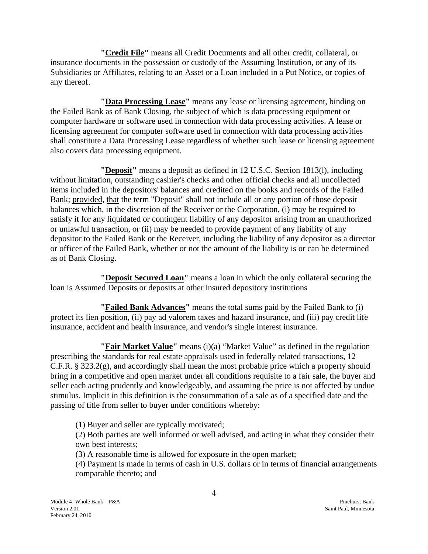<span id="page-7-0"></span> **"Credit File"** means all Credit Documents and all other credit, collateral, or insurance documents in the possession or custody of the Assuming Institution, or any of its Subsidiaries or Affiliates, relating to an Asset or a Loan included in a Put Notice, or copies of any thereof.

**"Data Processing Lease"** means any lease or licensing agreement, binding on the Failed Bank as of Bank Closing, the subject of which is data processing equipment or computer hardware or software used in connection with data processing activities. A lease or licensing agreement for computer software used in connection with data processing activities shall constitute a Data Processing Lease regardless of whether such lease or licensing agreement also covers data processing equipment.

**"Deposit"** means a deposit as defined in 12 U.S.C. Section 1813(l), including without limitation, outstanding cashier's checks and other official checks and all uncollected items included in the depositors' balances and credited on the books and records of the Failed Bank; provided, that the term "Deposit" shall not include all or any portion of those deposit balances which, in the discretion of the Receiver or the Corporation, (i) may be required to satisfy it for any liquidated or contingent liability of any depositor arising from an unauthorized or unlawful transaction, or (ii) may be needed to provide payment of any liability of any depositor to the Failed Bank or the Receiver, including the liability of any depositor as a director or officer of the Failed Bank, whether or not the amount of the liability is or can be determined as of Bank Closing.

**"Deposit Secured Loan"** means a loan in which the only collateral securing the loan is Assumed Deposits or deposits at other insured depository institutions

**"Failed Bank Advances"** means the total sums paid by the Failed Bank to (i) protect its lien position, (ii) pay ad valorem taxes and hazard insurance, and (iii) pay credit life insurance, accident and health insurance, and vendor's single interest insurance.

**"Fair Market Value"** means (i)(a) "Market Value" as defined in the regulation prescribing the standards for real estate appraisals used in federally related transactions, 12 C.F.R. § 323.2(g), and accordingly shall mean the most probable price which a property should bring in a competitive and open market under all conditions requisite to a fair sale, the buyer and seller each acting prudently and knowledgeably, and assuming the price is not affected by undue stimulus. Implicit in this definition is the consummation of a sale as of a specified date and the passing of title from seller to buyer under conditions whereby:

(1) Buyer and seller are typically motivated;

(2) Both parties are well informed or well advised, and acting in what they consider their own best interests;

(3) A reasonable time is allowed for exposure in the open market;

(4) Payment is made in terms of cash in U.S. dollars or in terms of financial arrangements comparable thereto; and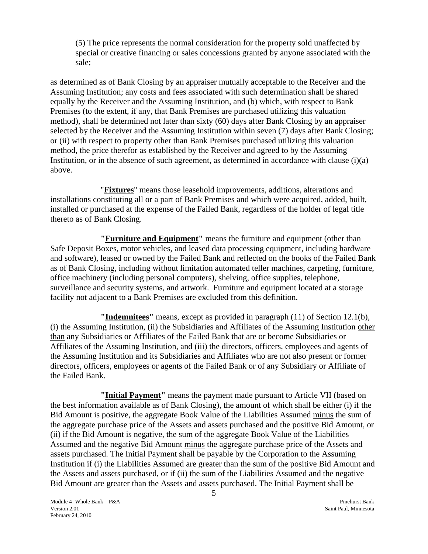(5) The price represents the normal consideration for the property sold unaffected by special or creative financing or sales concessions granted by anyone associated with the sale;

as determined as of Bank Closing by an appraiser mutually acceptable to the Receiver and the Assuming Institution; any costs and fees associated with such determination shall be shared equally by the Receiver and the Assuming Institution, and (b) which, with respect to Bank Premises (to the extent, if any, that Bank Premises are purchased utilizing this valuation method), shall be determined not later than sixty (60) days after Bank Closing by an appraiser selected by the Receiver and the Assuming Institution within seven (7) days after Bank Closing; or (ii) with respect to property other than Bank Premises purchased utilizing this valuation method, the price therefor as established by the Receiver and agreed to by the Assuming Institution, or in the absence of such agreement, as determined in accordance with clause  $(i)(a)$ above.

"**Fixtures**" means those leasehold improvements, additions, alterations and installations constituting all or a part of Bank Premises and which were acquired, added, built, installed or purchased at the expense of the Failed Bank, regardless of the holder of legal title thereto as of Bank Closing.

**"Furniture and Equipment"** means the furniture and equipment (other than Safe Deposit Boxes, motor vehicles, and leased data processing equipment, including hardware and software), leased or owned by the Failed Bank and reflected on the books of the Failed Bank as of Bank Closing, including without limitation automated teller machines, carpeting, furniture, office machinery (including personal computers), shelving, office supplies, telephone, surveillance and security systems, and artwork. Furniture and equipment located at a storage facility not adjacent to a Bank Premises are excluded from this definition.

**"Indemnitees"** means, except as provided in paragraph (11) of Section 12.1(b), (i) the Assuming Institution, (ii) the Subsidiaries and Affiliates of the Assuming Institution other than any Subsidiaries or Affiliates of the Failed Bank that are or become Subsidiaries or Affiliates of the Assuming Institution, and (iii) the directors, officers, employees and agents of the Assuming Institution and its Subsidiaries and Affiliates who are not also present or former directors, officers, employees or agents of the Failed Bank or of any Subsidiary or Affiliate of the Failed Bank.

**"Initial Payment"** means the payment made pursuant to Article VII (based on the best information available as of Bank Closing), the amount of which shall be either (i) if the Bid Amount is positive, the aggregate Book Value of the Liabilities Assumed minus the sum of the aggregate purchase price of the Assets and assets purchased and the positive Bid Amount, or (ii) if the Bid Amount is negative, the sum of the aggregate Book Value of the Liabilities Assumed and the negative Bid Amount minus the aggregate purchase price of the Assets and assets purchased. The Initial Payment shall be payable by the Corporation to the Assuming Institution if (i) the Liabilities Assumed are greater than the sum of the positive Bid Amount and the Assets and assets purchased, or if (ii) the sum of the Liabilities Assumed and the negative Bid Amount are greater than the Assets and assets purchased. The Initial Payment shall be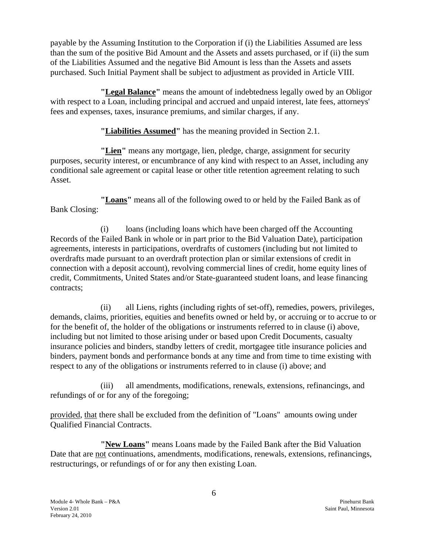payable by the Assuming Institution to the Corporation if (i) the Liabilities Assumed are less than the sum of the positive Bid Amount and the Assets and assets purchased, or if (ii) the sum of the Liabilities Assumed and the negative Bid Amount is less than the Assets and assets purchased. Such Initial Payment shall be subject to adjustment as provided in Article VIII.

**"Legal Balance"** means the amount of indebtedness legally owed by an Obligor with respect to a Loan, including principal and accrued and unpaid interest, late fees, attorneys' fees and expenses, taxes, insurance premiums, and similar charges, if any.

**"Liabilities Assumed"** has the meaning provided in Section 2.1.

**"Lien"** means any mortgage, lien, pledge, charge, assignment for security purposes, security interest, or encumbrance of any kind with respect to an Asset, including any conditional sale agreement or capital lease or other title retention agreement relating to such Asset.

**"Loans"** means all of the following owed to or held by the Failed Bank as of Bank Closing:

(i) loans (including loans which have been charged off the Accounting Records of the Failed Bank in whole or in part prior to the Bid Valuation Date), participation agreements, interests in participations, overdrafts of customers (including but not limited to overdrafts made pursuant to an overdraft protection plan or similar extensions of credit in connection with a deposit account), revolving commercial lines of credit, home equity lines of credit, Commitments, United States and/or State-guaranteed student loans, and lease financing contracts;

(ii) all Liens, rights (including rights of set-off), remedies, powers, privileges, demands, claims, priorities, equities and benefits owned or held by, or accruing or to accrue to or for the benefit of, the holder of the obligations or instruments referred to in clause (i) above, including but not limited to those arising under or based upon Credit Documents, casualty insurance policies and binders, standby letters of credit, mortgagee title insurance policies and binders, payment bonds and performance bonds at any time and from time to time existing with respect to any of the obligations or instruments referred to in clause (i) above; and

(iii) all amendments, modifications, renewals, extensions, refinancings, and refundings of or for any of the foregoing;

provided, that there shall be excluded from the definition of "Loans" amounts owing under Qualified Financial Contracts.

**"New Loans"** means Loans made by the Failed Bank after the Bid Valuation Date that are not continuations, amendments, modifications, renewals, extensions, refinancings, restructurings, or refundings of or for any then existing Loan.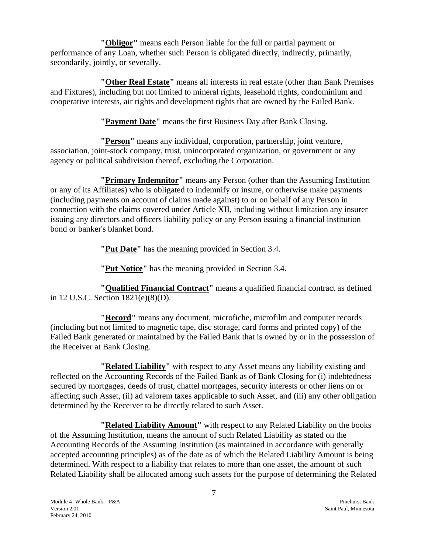**"Obligor"** means each Person liable for the full or partial payment or performance of any Loan, whether such Person is obligated directly, indirectly, primarily, secondarily, jointly, or severally.

**"Other Real Estate"** means all interests in real estate (other than Bank Premises and Fixtures), including but not limited to mineral rights, leasehold rights, condominium and cooperative interests, air rights and development rights that are owned by the Failed Bank.

**"Payment Date"** means the first Business Day after Bank Closing.

**"Person"** means any individual, corporation, partnership, joint venture, association, joint-stock company, trust, unincorporated organization, or government or any agency or political subdivision thereof, excluding the Corporation.

**"Primary Indemnitor"** means any Person (other than the Assuming Institution or any of its Affiliates) who is obligated to indemnify or insure, or otherwise make payments (including payments on account of claims made against) to or on behalf of any Person in connection with the claims covered under Article XII, including without limitation any insurer issuing any directors and officers liability policy or any Person issuing a financial institution bond or banker's blanket bond.

**"Put Date"** has the meaning provided in Section 3.4.

**"Put Notice"** has the meaning provided in Section 3.4.

**"Qualified Financial Contract"** means a qualified financial contract as defined in 12 U.S.C. Section 1821(e)(8)(D).

**"Record"** means any document, microfiche, microfilm and computer records (including but not limited to magnetic tape, disc storage, card forms and printed copy) of the Failed Bank generated or maintained by the Failed Bank that is owned by or in the possession of the Receiver at Bank Closing.

**"Related Liability"** with respect to any Asset means any liability existing and reflected on the Accounting Records of the Failed Bank as of Bank Closing for (i) indebtedness secured by mortgages, deeds of trust, chattel mortgages, security interests or other liens on or affecting such Asset, (ii) ad valorem taxes applicable to such Asset, and (iii) any other obligation determined by the Receiver to be directly related to such Asset.

**"Related Liability Amount"** with respect to any Related Liability on the books of the Assuming Institution, means the amount of such Related Liability as stated on the Accounting Records of the Assuming Institution (as maintained in accordance with generally accepted accounting principles) as of the date as of which the Related Liability Amount is being determined. With respect to a liability that relates to more than one asset, the amount of such Related Liability shall be allocated among such assets for the purpose of determining the Related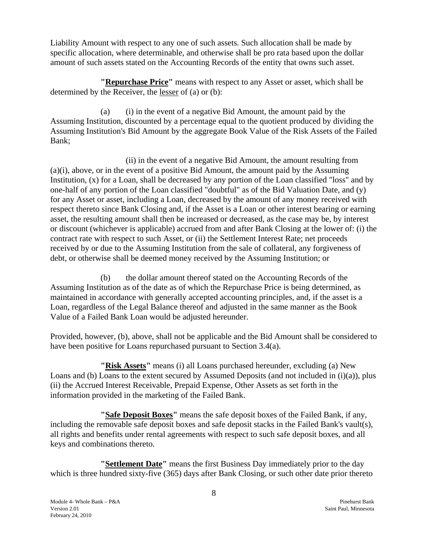Liability Amount with respect to any one of such assets. Such allocation shall be made by specific allocation, where determinable, and otherwise shall be pro rata based upon the dollar amount of such assets stated on the Accounting Records of the entity that owns such asset.

**"Repurchase Price"** means with respect to any Asset or asset, which shall be determined by the Receiver, the lesser of (a) or (b):

(a) (i) in the event of a negative Bid Amount, the amount paid by the Assuming Institution, discounted by a percentage equal to the quotient produced by dividing the Assuming Institution's Bid Amount by the aggregate Book Value of the Risk Assets of the Failed Bank;

(ii) in the event of a negative Bid Amount, the amount resulting from (a)(i), above, or in the event of a positive Bid Amount, the amount paid by the Assuming Institution, (x) for a Loan, shall be decreased by any portion of the Loan classified "loss" and by one-half of any portion of the Loan classified "doubtful" as of the Bid Valuation Date, and (y) for any Asset or asset, including a Loan, decreased by the amount of any money received with respect thereto since Bank Closing and, if the Asset is a Loan or other interest bearing or earning asset, the resulting amount shall then be increased or decreased, as the case may be, by interest or discount (whichever is applicable) accrued from and after Bank Closing at the lower of: (i) the contract rate with respect to such Asset, or (ii) the Settlement Interest Rate; net proceeds received by or due to the Assuming Institution from the sale of collateral, any forgiveness of debt, or otherwise shall be deemed money received by the Assuming Institution; or

(b) the dollar amount thereof stated on the Accounting Records of the Assuming Institution as of the date as of which the Repurchase Price is being determined, as maintained in accordance with generally accepted accounting principles, and, if the asset is a Loan, regardless of the Legal Balance thereof and adjusted in the same manner as the Book Value of a Failed Bank Loan would be adjusted hereunder.

Provided, however, (b), above, shall not be applicable and the Bid Amount shall be considered to have been positive for Loans repurchased pursuant to Section 3.4(a).

**"Risk Assets"** means (i) all Loans purchased hereunder, excluding (a) New Loans and (b) Loans to the extent secured by Assumed Deposits (and not included in (i)(a)), plus (ii) the Accrued Interest Receivable, Prepaid Expense, Other Assets as set forth in the information provided in the marketing of the Failed Bank.

**"Safe Deposit Boxes"** means the safe deposit boxes of the Failed Bank, if any, including the removable safe deposit boxes and safe deposit stacks in the Failed Bank's vault(s), all rights and benefits under rental agreements with respect to such safe deposit boxes, and all keys and combinations thereto.

**"Settlement Date"** means the first Business Day immediately prior to the day which is three hundred sixty-five (365) days after Bank Closing, or such other date prior thereto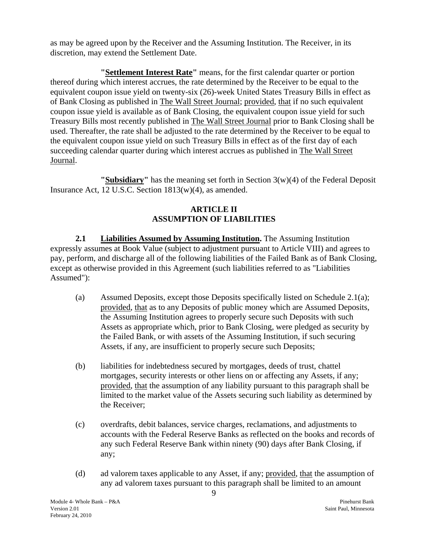as may be agreed upon by the Receiver and the Assuming Institution. The Receiver, in its discretion, may extend the Settlement Date.

**"Settlement Interest Rate"** means, for the first calendar quarter or portion thereof during which interest accrues, the rate determined by the Receiver to be equal to the equivalent coupon issue yield on twenty-six (26)-week United States Treasury Bills in effect as of Bank Closing as published in The Wall Street Journal; provided, that if no such equivalent coupon issue yield is available as of Bank Closing, the equivalent coupon issue yield for such Treasury Bills most recently published in The Wall Street Journal prior to Bank Closing shall be used. Thereafter, the rate shall be adjusted to the rate determined by the Receiver to be equal to the equivalent coupon issue yield on such Treasury Bills in effect as of the first day of each succeeding calendar quarter during which interest accrues as published in The Wall Street Journal.

**"Subsidiary"** has the meaning set forth in Section 3(w)(4) of the Federal Deposit Insurance Act, 12 U.S.C. Section 1813(w)(4), as amended.

# **ARTICLE II ASSUMPTION OF LIABILITIES**

<span id="page-12-1"></span><span id="page-12-0"></span> **2.1 Liabilities Assumed by Assuming Institution.** The Assuming Institution expressly assumes at Book Value (subject to adjustment pursuant to Article VIII) and agrees to pay, perform, and discharge all of the following liabilities of the Failed Bank as of Bank Closing, except as otherwise provided in this Agreement (such liabilities referred to as "Liabilities Assumed"):

- (a) Assumed Deposits, except those Deposits specifically listed on Schedule 2.1(a); provided, that as to any Deposits of public money which are Assumed Deposits, the Assuming Institution agrees to properly secure such Deposits with such Assets as appropriate which, prior to Bank Closing, were pledged as security by the Failed Bank, or with assets of the Assuming Institution, if such securing Assets, if any, are insufficient to properly secure such Deposits;
- (b) liabilities for indebtedness secured by mortgages, deeds of trust, chattel mortgages, security interests or other liens on or affecting any Assets, if any; provided, that the assumption of any liability pursuant to this paragraph shall be limited to the market value of the Assets securing such liability as determined by the Receiver;
- (c) overdrafts, debit balances, service charges, reclamations, and adjustments to accounts with the Federal Reserve Banks as reflected on the books and records of any such Federal Reserve Bank within ninety (90) days after Bank Closing, if any;
- (d) ad valorem taxes applicable to any Asset, if any; provided, that the assumption of any ad valorem taxes pursuant to this paragraph shall be limited to an amount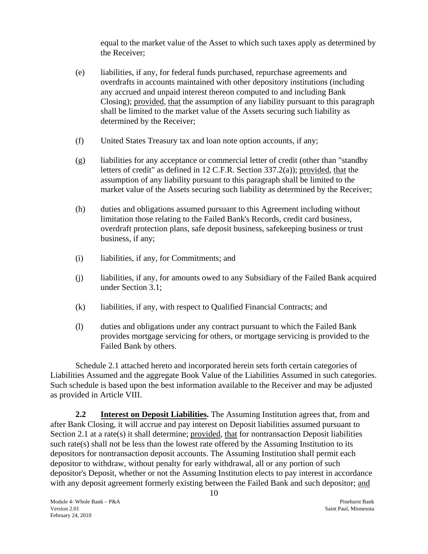equal to the market value of the Asset to which such taxes apply as determined by the Receiver;

- (e) liabilities, if any, for federal funds purchased, repurchase agreements and overdrafts in accounts maintained with other depository institutions (including any accrued and unpaid interest thereon computed to and including Bank Closing); provided, that the assumption of any liability pursuant to this paragraph shall be limited to the market value of the Assets securing such liability as determined by the Receiver;
- (f) United States Treasury tax and loan note option accounts, if any;
- (g) liabilities for any acceptance or commercial letter of credit (other than "standby letters of credit" as defined in 12 C.F.R. Section 337.2(a)); provided, that the assumption of any liability pursuant to this paragraph shall be limited to the market value of the Assets securing such liability as determined by the Receiver;
- (h) duties and obligations assumed pursuant to this Agreement including without limitation those relating to the Failed Bank's Records, credit card business, overdraft protection plans, safe deposit business, safekeeping business or trust business, if any;
- (i) liabilities, if any, for Commitments; and
- (j) liabilities, if any, for amounts owed to any Subsidiary of the Failed Bank acquired under Section 3.1;
- (k) liabilities, if any, with respect to Qualified Financial Contracts; and
- (l) duties and obligations under any contract pursuant to which the Failed Bank provides mortgage servicing for others, or mortgage servicing is provided to the Failed Bank by others.

Schedule 2.1 attached hereto and incorporated herein sets forth certain categories of Liabilities Assumed and the aggregate Book Value of the Liabilities Assumed in such categories. Such schedule is based upon the best information available to the Receiver and may be adjusted as provided in Article VIII.

<span id="page-13-0"></span>**2.2 Interest on Deposit Liabilities.** The Assuming Institution agrees that, from and after Bank Closing, it will accrue and pay interest on Deposit liabilities assumed pursuant to Section 2.1 at a rate(s) it shall determine; provided, that for nontransaction Deposit liabilities such rate(s) shall not be less than the lowest rate offered by the Assuming Institution to its depositors for nontransaction deposit accounts. The Assuming Institution shall permit each depositor to withdraw, without penalty for early withdrawal, all or any portion of such depositor's Deposit, whether or not the Assuming Institution elects to pay interest in accordance with any deposit agreement formerly existing between the Failed Bank and such depositor; and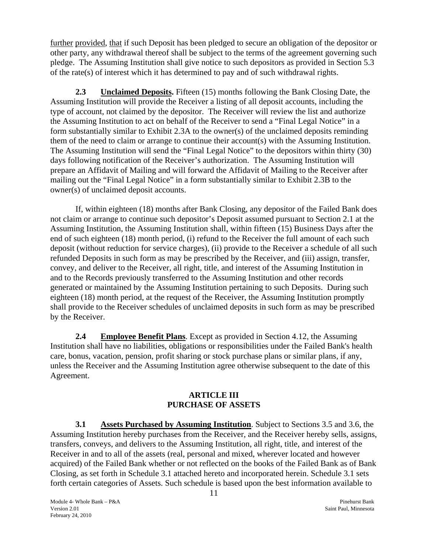further provided, that if such Deposit has been pledged to secure an obligation of the depositor or other party, any withdrawal thereof shall be subject to the terms of the agreement governing such pledge. The Assuming Institution shall give notice to such depositors as provided in Section 5.3 of the rate(s) of interest which it has determined to pay and of such withdrawal rights.

<span id="page-14-0"></span>**2.3 Unclaimed Deposits.** Fifteen (15) months following the Bank Closing Date, the Assuming Institution will provide the Receiver a listing of all deposit accounts, including the type of account, not claimed by the depositor. The Receiver will review the list and authorize the Assuming Institution to act on behalf of the Receiver to send a "Final Legal Notice" in a form substantially similar to Exhibit 2.3A to the owner(s) of the unclaimed deposits reminding them of the need to claim or arrange to continue their account(s) with the Assuming Institution. The Assuming Institution will send the "Final Legal Notice" to the depositors within thirty (30) days following notification of the Receiver's authorization. The Assuming Institution will prepare an Affidavit of Mailing and will forward the Affidavit of Mailing to the Receiver after mailing out the "Final Legal Notice" in a form substantially similar to Exhibit 2.3B to the owner(s) of unclaimed deposit accounts.

If, within eighteen (18) months after Bank Closing, any depositor of the Failed Bank does not claim or arrange to continue such depositor's Deposit assumed pursuant to Section 2.1 at the Assuming Institution, the Assuming Institution shall, within fifteen (15) Business Days after the end of such eighteen (18) month period, (i) refund to the Receiver the full amount of each such deposit (without reduction for service charges), (ii) provide to the Receiver a schedule of all such refunded Deposits in such form as may be prescribed by the Receiver, and (iii) assign, transfer, convey, and deliver to the Receiver, all right, title, and interest of the Assuming Institution in and to the Records previously transferred to the Assuming Institution and other records generated or maintained by the Assuming Institution pertaining to such Deposits. During such eighteen (18) month period, at the request of the Receiver, the Assuming Institution promptly shall provide to the Receiver schedules of unclaimed deposits in such form as may be prescribed by the Receiver.

<span id="page-14-1"></span>**2.4 Employee Benefit Plans**. Except as provided in Section 4.12, the Assuming Institution shall have no liabilities, obligations or responsibilities under the Failed Bank's health care, bonus, vacation, pension, profit sharing or stock purchase plans or similar plans, if any, unless the Receiver and the Assuming Institution agree otherwise subsequent to the date of this Agreement.

#### **ARTICLE III PURCHASE OF ASSETS**

<span id="page-14-3"></span><span id="page-14-2"></span> **3.1 Assets Purchased by Assuming Institution**. Subject to Sections 3.5 and 3.6, the Assuming Institution hereby purchases from the Receiver, and the Receiver hereby sells, assigns, transfers, conveys, and delivers to the Assuming Institution, all right, title, and interest of the Receiver in and to all of the assets (real, personal and mixed, wherever located and however acquired) of the Failed Bank whether or not reflected on the books of the Failed Bank as of Bank Closing, as set forth in Schedule 3.1 attached hereto and incorporated herein. Schedule 3.1 sets forth certain categories of Assets. Such schedule is based upon the best information available to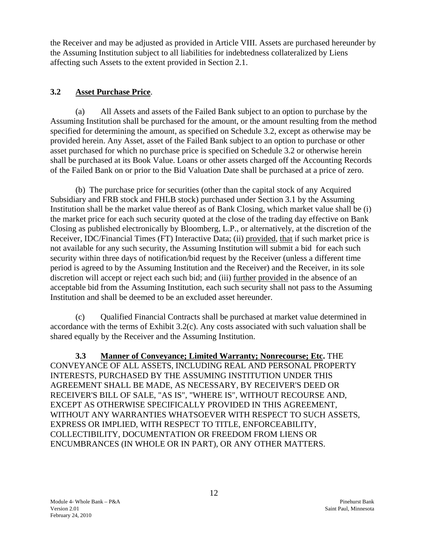the Receiver and may be adjusted as provided in Article VIII. Assets are purchased hereunder by the Assuming Institution subject to all liabilities for indebtedness collateralized by Liens affecting such Assets to the extent provided in Section 2.1.

# <span id="page-15-0"></span>**3.2 Asset Purchase Price**.

(a) All Assets and assets of the Failed Bank subject to an option to purchase by the Assuming Institution shall be purchased for the amount, or the amount resulting from the method specified for determining the amount, as specified on Schedule 3.2, except as otherwise may be provided herein. Any Asset, asset of the Failed Bank subject to an option to purchase or other asset purchased for which no purchase price is specified on Schedule 3.2 or otherwise herein shall be purchased at its Book Value. Loans or other assets charged off the Accounting Records of the Failed Bank on or prior to the Bid Valuation Date shall be purchased at a price of zero.

(b) The purchase price for securities (other than the capital stock of any Acquired Subsidiary and FRB stock and FHLB stock) purchased under Section 3.1 by the Assuming Institution shall be the market value thereof as of Bank Closing, which market value shall be (i) the market price for each such security quoted at the close of the trading day effective on Bank Closing as published electronically by Bloomberg, L.P., or alternatively, at the discretion of the Receiver, IDC/Financial Times (FT) Interactive Data; (ii) provided, that if such market price is not available for any such security, the Assuming Institution will submit a bid for each such security within three days of notification/bid request by the Receiver (unless a different time period is agreed to by the Assuming Institution and the Receiver) and the Receiver, in its sole discretion will accept or reject each such bid; and (iii) further provided in the absence of an acceptable bid from the Assuming Institution, each such security shall not pass to the Assuming Institution and shall be deemed to be an excluded asset hereunder.

(c) Qualified Financial Contracts shall be purchased at market value determined in accordance with the terms of Exhibit 3.2(c). Any costs associated with such valuation shall be shared equally by the Receiver and the Assuming Institution.

<span id="page-15-1"></span>**3.3 Manner of Conveyance; Limited Warranty; Nonrecourse; Etc.** THE CONVEYANCE OF ALL ASSETS, INCLUDING REAL AND PERSONAL PROPERTY INTERESTS, PURCHASED BY THE ASSUMING INSTITUTION UNDER THIS AGREEMENT SHALL BE MADE, AS NECESSARY, BY RECEIVER'S DEED OR RECEIVER'S BILL OF SALE, "AS IS", "WHERE IS", WITHOUT RECOURSE AND, EXCEPT AS OTHERWISE SPECIFICALLY PROVIDED IN THIS AGREEMENT, WITHOUT ANY WARRANTIES WHATSOEVER WITH RESPECT TO SUCH ASSETS, EXPRESS OR IMPLIED, WITH RESPECT TO TITLE, ENFORCEABILITY, COLLECTIBILITY, DOCUMENTATION OR FREEDOM FROM LIENS OR ENCUMBRANCES (IN WHOLE OR IN PART), OR ANY OTHER MATTERS.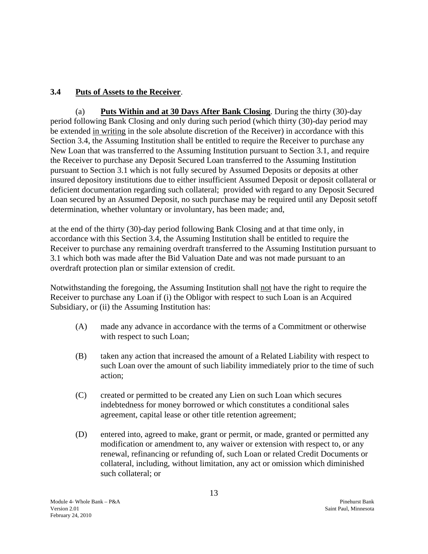# <span id="page-16-0"></span>**3.4 Puts of Assets to the Receiver**.

(a) **Puts Within and at 30 Days After Bank Closing**. During the thirty (30)-day period following Bank Closing and only during such period (which thirty (30)-day period may be extended in writing in the sole absolute discretion of the Receiver) in accordance with this Section 3.4, the Assuming Institution shall be entitled to require the Receiver to purchase any New Loan that was transferred to the Assuming Institution pursuant to Section 3.1, and require the Receiver to purchase any Deposit Secured Loan transferred to the Assuming Institution pursuant to Section 3.1 which is not fully secured by Assumed Deposits or deposits at other insured depository institutions due to either insufficient Assumed Deposit or deposit collateral or deficient documentation regarding such collateral; provided with regard to any Deposit Secured Loan secured by an Assumed Deposit, no such purchase may be required until any Deposit setoff determination, whether voluntary or involuntary, has been made; and,

at the end of the thirty (30)-day period following Bank Closing and at that time only, in accordance with this Section 3.4, the Assuming Institution shall be entitled to require the Receiver to purchase any remaining overdraft transferred to the Assuming Institution pursuant to 3.1 which both was made after the Bid Valuation Date and was not made pursuant to an overdraft protection plan or similar extension of credit.

Notwithstanding the foregoing, the Assuming Institution shall not have the right to require the Receiver to purchase any Loan if (i) the Obligor with respect to such Loan is an Acquired Subsidiary, or (ii) the Assuming Institution has:

- (A) made any advance in accordance with the terms of a Commitment or otherwise with respect to such Loan;
- (B) taken any action that increased the amount of a Related Liability with respect to such Loan over the amount of such liability immediately prior to the time of such action;
- (C) created or permitted to be created any Lien on such Loan which secures indebtedness for money borrowed or which constitutes a conditional sales agreement, capital lease or other title retention agreement;
- (D) entered into, agreed to make, grant or permit, or made, granted or permitted any modification or amendment to, any waiver or extension with respect to, or any renewal, refinancing or refunding of, such Loan or related Credit Documents or collateral, including, without limitation, any act or omission which diminished such collateral; or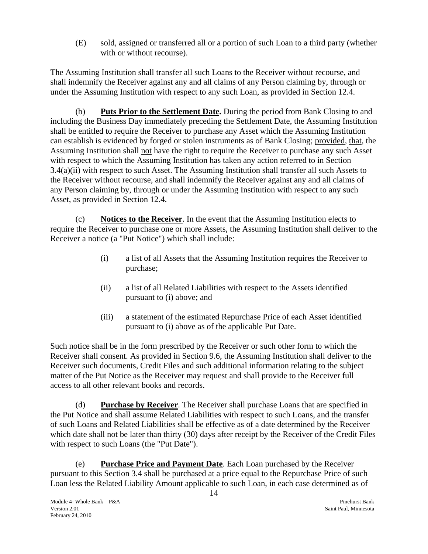(E) sold, assigned or transferred all or a portion of such Loan to a third party (whether with or without recourse).

The Assuming Institution shall transfer all such Loans to the Receiver without recourse, and shall indemnify the Receiver against any and all claims of any Person claiming by, through or under the Assuming Institution with respect to any such Loan, as provided in Section 12.4.

(b) **Puts Prior to the Settlement Date.** During the period from Bank Closing to and including the Business Day immediately preceding the Settlement Date, the Assuming Institution shall be entitled to require the Receiver to purchase any Asset which the Assuming Institution can establish is evidenced by forged or stolen instruments as of Bank Closing; provided, that, the Assuming Institution shall not have the right to require the Receiver to purchase any such Asset with respect to which the Assuming Institution has taken any action referred to in Section 3.4(a)(ii) with respect to such Asset. The Assuming Institution shall transfer all such Assets to the Receiver without recourse, and shall indemnify the Receiver against any and all claims of any Person claiming by, through or under the Assuming Institution with respect to any such Asset, as provided in Section 12.4.

(c) **Notices to the Receiver**. In the event that the Assuming Institution elects to require the Receiver to purchase one or more Assets, the Assuming Institution shall deliver to the Receiver a notice (a "Put Notice") which shall include:

- (i) a list of all Assets that the Assuming Institution requires the Receiver to purchase;
- (ii) a list of all Related Liabilities with respect to the Assets identified pursuant to (i) above; and
- (iii) a statement of the estimated Repurchase Price of each Asset identified pursuant to (i) above as of the applicable Put Date.

Such notice shall be in the form prescribed by the Receiver or such other form to which the Receiver shall consent. As provided in Section 9.6, the Assuming Institution shall deliver to the Receiver such documents, Credit Files and such additional information relating to the subject matter of the Put Notice as the Receiver may request and shall provide to the Receiver full access to all other relevant books and records.

(d) **Purchase by Receiver**. The Receiver shall purchase Loans that are specified in the Put Notice and shall assume Related Liabilities with respect to such Loans, and the transfer of such Loans and Related Liabilities shall be effective as of a date determined by the Receiver which date shall not be later than thirty (30) days after receipt by the Receiver of the Credit Files with respect to such Loans (the "Put Date").

(e) **Purchase Price and Payment Date**. Each Loan purchased by the Receiver pursuant to this Section 3.4 shall be purchased at a price equal to the Repurchase Price of such Loan less the Related Liability Amount applicable to such Loan, in each case determined as of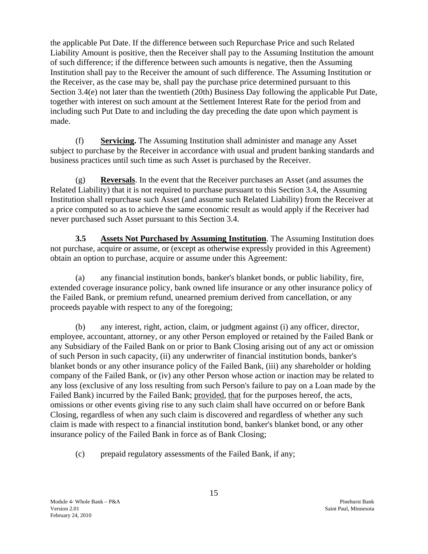the applicable Put Date. If the difference between such Repurchase Price and such Related Liability Amount is positive, then the Receiver shall pay to the Assuming Institution the amount of such difference; if the difference between such amounts is negative, then the Assuming Institution shall pay to the Receiver the amount of such difference. The Assuming Institution or the Receiver, as the case may be, shall pay the purchase price determined pursuant to this Section 3.4(e) not later than the twentieth (20th) Business Day following the applicable Put Date, together with interest on such amount at the Settlement Interest Rate for the period from and including such Put Date to and including the day preceding the date upon which payment is made.

(f) **Servicing.** The Assuming Institution shall administer and manage any Asset subject to purchase by the Receiver in accordance with usual and prudent banking standards and business practices until such time as such Asset is purchased by the Receiver.

(g) **Reversals**. In the event that the Receiver purchases an Asset (and assumes the Related Liability) that it is not required to purchase pursuant to this Section 3.4, the Assuming Institution shall repurchase such Asset (and assume such Related Liability) from the Receiver at a price computed so as to achieve the same economic result as would apply if the Receiver had never purchased such Asset pursuant to this Section 3.4.

<span id="page-18-0"></span>**3.5 Assets Not Purchased by Assuming Institution**. The Assuming Institution does not purchase, acquire or assume, or (except as otherwise expressly provided in this Agreement) obtain an option to purchase, acquire or assume under this Agreement:

(a) any financial institution bonds, banker's blanket bonds, or public liability, fire, extended coverage insurance policy, bank owned life insurance or any other insurance policy of the Failed Bank, or premium refund, unearned premium derived from cancellation, or any proceeds payable with respect to any of the foregoing;

(b) any interest, right, action, claim, or judgment against (i) any officer, director, employee, accountant, attorney, or any other Person employed or retained by the Failed Bank or any Subsidiary of the Failed Bank on or prior to Bank Closing arising out of any act or omission of such Person in such capacity, (ii) any underwriter of financial institution bonds, banker's blanket bonds or any other insurance policy of the Failed Bank, (iii) any shareholder or holding company of the Failed Bank, or (iv) any other Person whose action or inaction may be related to any loss (exclusive of any loss resulting from such Person's failure to pay on a Loan made by the Failed Bank) incurred by the Failed Bank; provided, that for the purposes hereof, the acts, omissions or other events giving rise to any such claim shall have occurred on or before Bank Closing, regardless of when any such claim is discovered and regardless of whether any such claim is made with respect to a financial institution bond, banker's blanket bond, or any other insurance policy of the Failed Bank in force as of Bank Closing;

(c) prepaid regulatory assessments of the Failed Bank, if any;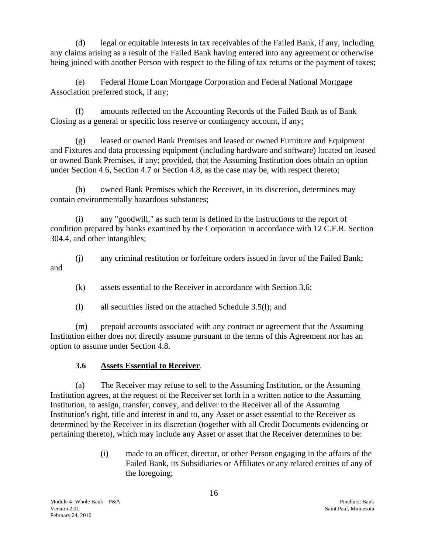(d) legal or equitable interests in tax receivables of the Failed Bank, if any, including any claims arising as a result of the Failed Bank having entered into any agreement or otherwise being joined with another Person with respect to the filing of tax returns or the payment of taxes;

(e) Federal Home Loan Mortgage Corporation and Federal National Mortgage Association preferred stock, if any;

(f) amounts reflected on the Accounting Records of the Failed Bank as of Bank Closing as a general or specific loss reserve or contingency account, if any;

(g) leased or owned Bank Premises and leased or owned Furniture and Equipment and Fixtures and data processing equipment (including hardware and software) located on leased or owned Bank Premises, if any; provided, that the Assuming Institution does obtain an option under Section 4.6, Section 4.7 or Section 4.8, as the case may be, with respect thereto;

(h) owned Bank Premises which the Receiver, in its discretion, determines may contain environmentally hazardous substances;

(i) any "goodwill," as such term is defined in the instructions to the report of condition prepared by banks examined by the Corporation in accordance with 12 C.F.R. Section 304.4, and other intangibles;

(j) any criminal restitution or forfeiture orders issued in favor of the Failed Bank; and

(k) assets essential to the Receiver in accordance with Section 3.6;

(l) all securities listed on the attached Schedule 3.5(l); and

(m) prepaid accounts associated with any contract or agreement that the Assuming Institution either does not directly assume pursuant to the terms of this Agreement nor has an option to assume under Section 4.8.

# **3.6 Assets Essential to Receiver**.

<span id="page-19-0"></span>(a) The Receiver may refuse to sell to the Assuming Institution, or the Assuming Institution agrees, at the request of the Receiver set forth in a written notice to the Assuming Institution, to assign, transfer, convey, and deliver to the Receiver all of the Assuming Institution's right, title and interest in and to, any Asset or asset essential to the Receiver as determined by the Receiver in its discretion (together with all Credit Documents evidencing or pertaining thereto), which may include any Asset or asset that the Receiver determines to be:

> (i) made to an officer, director, or other Person engaging in the affairs of the Failed Bank, its Subsidiaries or Affiliates or any related entities of any of the foregoing;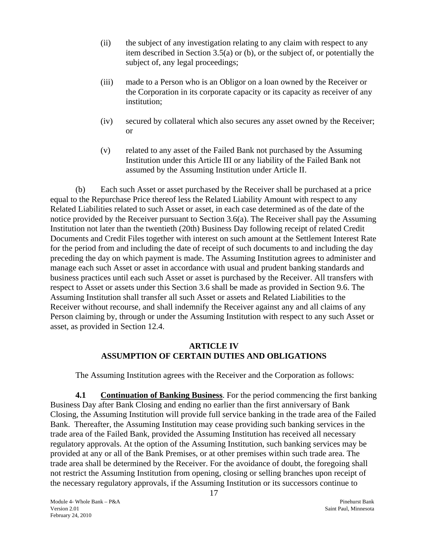- (ii) the subject of any investigation relating to any claim with respect to any item described in Section 3.5(a) or (b), or the subject of, or potentially the subject of, any legal proceedings;
- (iii) made to a Person who is an Obligor on a loan owned by the Receiver or the Corporation in its corporate capacity or its capacity as receiver of any institution;
- (iv) secured by collateral which also secures any asset owned by the Receiver; or
- (v) related to any asset of the Failed Bank not purchased by the Assuming Institution under this Article III or any liability of the Failed Bank not assumed by the Assuming Institution under Article II.

(b) Each such Asset or asset purchased by the Receiver shall be purchased at a price equal to the Repurchase Price thereof less the Related Liability Amount with respect to any Related Liabilities related to such Asset or asset, in each case determined as of the date of the notice provided by the Receiver pursuant to Section 3.6(a). The Receiver shall pay the Assuming Institution not later than the twentieth (20th) Business Day following receipt of related Credit Documents and Credit Files together with interest on such amount at the Settlement Interest Rate for the period from and including the date of receipt of such documents to and including the day preceding the day on which payment is made. The Assuming Institution agrees to administer and manage each such Asset or asset in accordance with usual and prudent banking standards and business practices until each such Asset or asset is purchased by the Receiver. All transfers with respect to Asset or assets under this Section 3.6 shall be made as provided in Section 9.6. The Assuming Institution shall transfer all such Asset or assets and Related Liabilities to the Receiver without recourse, and shall indemnify the Receiver against any and all claims of any Person claiming by, through or under the Assuming Institution with respect to any such Asset or asset, as provided in Section 12.4.

## **ARTICLE IV ASSUMPTION OF CERTAIN DUTIES AND OBLIGATIONS**

The Assuming Institution agrees with the Receiver and the Corporation as follows:

<span id="page-20-1"></span><span id="page-20-0"></span>**4.1 Continuation of Banking Business**. For the period commencing the first banking Business Day after Bank Closing and ending no earlier than the first anniversary of Bank Closing, the Assuming Institution will provide full service banking in the trade area of the Failed Bank. Thereafter, the Assuming Institution may cease providing such banking services in the trade area of the Failed Bank, provided the Assuming Institution has received all necessary regulatory approvals. At the option of the Assuming Institution, such banking services may be provided at any or all of the Bank Premises, or at other premises within such trade area. The trade area shall be determined by the Receiver. For the avoidance of doubt, the foregoing shall not restrict the Assuming Institution from opening, closing or selling branches upon receipt of the necessary regulatory approvals, if the Assuming Institution or its successors continue to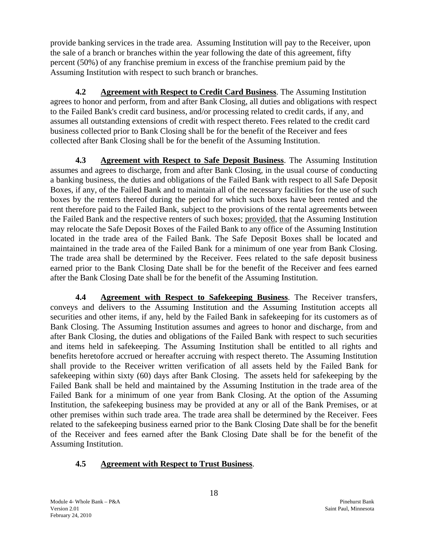provide banking services in the trade area. Assuming Institution will pay to the Receiver, upon the sale of a branch or branches within the year following the date of this agreement, fifty percent (50%) of any franchise premium in excess of the franchise premium paid by the Assuming Institution with respect to such branch or branches.

<span id="page-21-0"></span>**4.2 Agreement with Respect to Credit Card Business**. The Assuming Institution agrees to honor and perform, from and after Bank Closing, all duties and obligations with respect to the Failed Bank's credit card business, and/or processing related to credit cards, if any, and assumes all outstanding extensions of credit with respect thereto. Fees related to the credit card business collected prior to Bank Closing shall be for the benefit of the Receiver and fees collected after Bank Closing shall be for the benefit of the Assuming Institution.

<span id="page-21-1"></span>**4.3 Agreement with Respect to Safe Deposit Business**. The Assuming Institution assumes and agrees to discharge, from and after Bank Closing, in the usual course of conducting a banking business, the duties and obligations of the Failed Bank with respect to all Safe Deposit Boxes, if any, of the Failed Bank and to maintain all of the necessary facilities for the use of such boxes by the renters thereof during the period for which such boxes have been rented and the rent therefore paid to the Failed Bank, subject to the provisions of the rental agreements between the Failed Bank and the respective renters of such boxes; provided, that the Assuming Institution may relocate the Safe Deposit Boxes of the Failed Bank to any office of the Assuming Institution located in the trade area of the Failed Bank. The Safe Deposit Boxes shall be located and maintained in the trade area of the Failed Bank for a minimum of one year from Bank Closing. The trade area shall be determined by the Receiver. Fees related to the safe deposit business earned prior to the Bank Closing Date shall be for the benefit of the Receiver and fees earned after the Bank Closing Date shall be for the benefit of the Assuming Institution.

**4.4 Agreement with Respect to Safekeeping Business**. The Receiver transfers, conveys and delivers to the Assuming Institution and the Assuming Institution accepts all securities and other items, if any, held by the Failed Bank in safekeeping for its customers as of Bank Closing. The Assuming Institution assumes and agrees to honor and discharge, from and after Bank Closing, the duties and obligations of the Failed Bank with respect to such securities and items held in safekeeping. The Assuming Institution shall be entitled to all rights and benefits heretofore accrued or hereafter accruing with respect thereto. The Assuming Institution shall provide to the Receiver written verification of all assets held by the Failed Bank for safekeeping within sixty (60) days after Bank Closing. The assets held for safekeeping by the Failed Bank shall be held and maintained by the Assuming Institution in the trade area of the Failed Bank for a minimum of one year from Bank Closing. At the option of the Assuming Institution, the safekeeping business may be provided at any or all of the Bank Premises, or at other premises within such trade area. The trade area shall be determined by the Receiver. Fees related to the safekeeping business earned prior to the Bank Closing Date shall be for the benefit of the Receiver and fees earned after the Bank Closing Date shall be for the benefit of the Assuming Institution.

## <span id="page-21-2"></span>**4.5 Agreement with Respect to Trust Business**.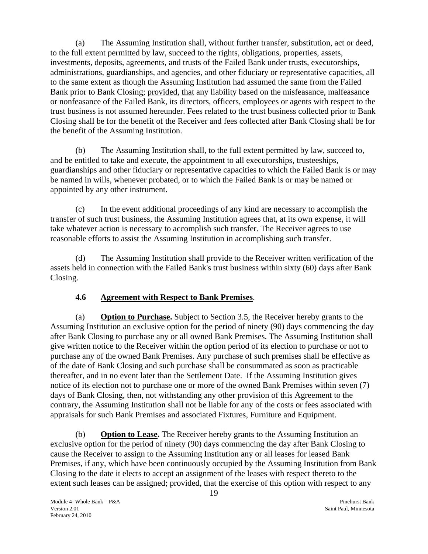(a) The Assuming Institution shall, without further transfer, substitution, act or deed, to the full extent permitted by law, succeed to the rights, obligations, properties, assets, investments, deposits, agreements, and trusts of the Failed Bank under trusts, executorships, administrations, guardianships, and agencies, and other fiduciary or representative capacities, all to the same extent as though the Assuming Institution had assumed the same from the Failed Bank prior to Bank Closing; provided, that any liability based on the misfeasance, malfeasance or nonfeasance of the Failed Bank, its directors, officers, employees or agents with respect to the trust business is not assumed hereunder. Fees related to the trust business collected prior to Bank Closing shall be for the benefit of the Receiver and fees collected after Bank Closing shall be for the benefit of the Assuming Institution.

(b) The Assuming Institution shall, to the full extent permitted by law, succeed to, and be entitled to take and execute, the appointment to all executorships, trusteeships, guardianships and other fiduciary or representative capacities to which the Failed Bank is or may be named in wills, whenever probated, or to which the Failed Bank is or may be named or appointed by any other instrument.

(c) In the event additional proceedings of any kind are necessary to accomplish the transfer of such trust business, the Assuming Institution agrees that, at its own expense, it will take whatever action is necessary to accomplish such transfer. The Receiver agrees to use reasonable efforts to assist the Assuming Institution in accomplishing such transfer.

(d) The Assuming Institution shall provide to the Receiver written verification of the assets held in connection with the Failed Bank's trust business within sixty (60) days after Bank Closing.

# **4.6 Agreement with Respect to Bank Premises**.

<span id="page-22-0"></span>(a) **Option to Purchase.** Subject to Section 3.5, the Receiver hereby grants to the Assuming Institution an exclusive option for the period of ninety (90) days commencing the day after Bank Closing to purchase any or all owned Bank Premises. The Assuming Institution shall give written notice to the Receiver within the option period of its election to purchase or not to purchase any of the owned Bank Premises. Any purchase of such premises shall be effective as of the date of Bank Closing and such purchase shall be consummated as soon as practicable thereafter, and in no event later than the Settlement Date. If the Assuming Institution gives notice of its election not to purchase one or more of the owned Bank Premises within seven (7) days of Bank Closing, then, not withstanding any other provision of this Agreement to the contrary, the Assuming Institution shall not be liable for any of the costs or fees associated with appraisals for such Bank Premises and associated Fixtures, Furniture and Equipment.

(b) **Option to Lease.** The Receiver hereby grants to the Assuming Institution an exclusive option for the period of ninety (90) days commencing the day after Bank Closing to cause the Receiver to assign to the Assuming Institution any or all leases for leased Bank Premises, if any, which have been continuously occupied by the Assuming Institution from Bank Closing to the date it elects to accept an assignment of the leases with respect thereto to the extent such leases can be assigned; provided, that the exercise of this option with respect to any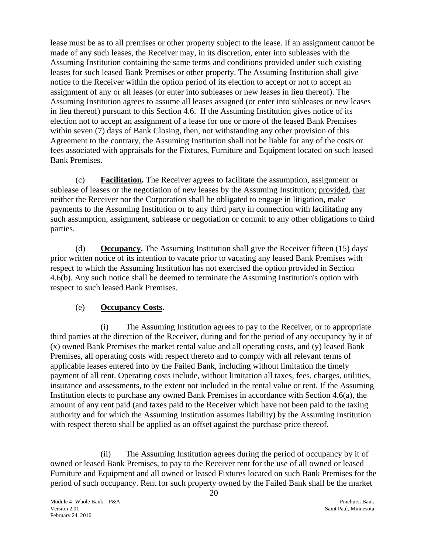lease must be as to all premises or other property subject to the lease. If an assignment cannot be made of any such leases, the Receiver may, in its discretion, enter into subleases with the Assuming Institution containing the same terms and conditions provided under such existing leases for such leased Bank Premises or other property. The Assuming Institution shall give notice to the Receiver within the option period of its election to accept or not to accept an assignment of any or all leases (or enter into subleases or new leases in lieu thereof). The Assuming Institution agrees to assume all leases assigned (or enter into subleases or new leases in lieu thereof) pursuant to this Section 4.6. If the Assuming Institution gives notice of its election not to accept an assignment of a lease for one or more of the leased Bank Premises within seven (7) days of Bank Closing, then, not withstanding any other provision of this Agreement to the contrary, the Assuming Institution shall not be liable for any of the costs or fees associated with appraisals for the Fixtures, Furniture and Equipment located on such leased Bank Premises.

(c) **Facilitation.** The Receiver agrees to facilitate the assumption, assignment or sublease of leases or the negotiation of new leases by the Assuming Institution; provided, that neither the Receiver nor the Corporation shall be obligated to engage in litigation, make payments to the Assuming Institution or to any third party in connection with facilitating any such assumption, assignment, sublease or negotiation or commit to any other obligations to third parties.

(d) **Occupancy.** The Assuming Institution shall give the Receiver fifteen (15) days' prior written notice of its intention to vacate prior to vacating any leased Bank Premises with respect to which the Assuming Institution has not exercised the option provided in Section 4.6(b). Any such notice shall be deemed to terminate the Assuming Institution's option with respect to such leased Bank Premises.

## (e) **Occupancy Costs.**

(i) The Assuming Institution agrees to pay to the Receiver, or to appropriate third parties at the direction of the Receiver, during and for the period of any occupancy by it of (x) owned Bank Premises the market rental value and all operating costs, and (y) leased Bank Premises, all operating costs with respect thereto and to comply with all relevant terms of applicable leases entered into by the Failed Bank, including without limitation the timely payment of all rent. Operating costs include, without limitation all taxes, fees, charges, utilities, insurance and assessments, to the extent not included in the rental value or rent. If the Assuming Institution elects to purchase any owned Bank Premises in accordance with Section 4.6(a), the amount of any rent paid (and taxes paid to the Receiver which have not been paid to the taxing authority and for which the Assuming Institution assumes liability) by the Assuming Institution with respect thereto shall be applied as an offset against the purchase price thereof.

(ii) The Assuming Institution agrees during the period of occupancy by it of owned or leased Bank Premises, to pay to the Receiver rent for the use of all owned or leased Furniture and Equipment and all owned or leased Fixtures located on such Bank Premises for the period of such occupancy. Rent for such property owned by the Failed Bank shall be the market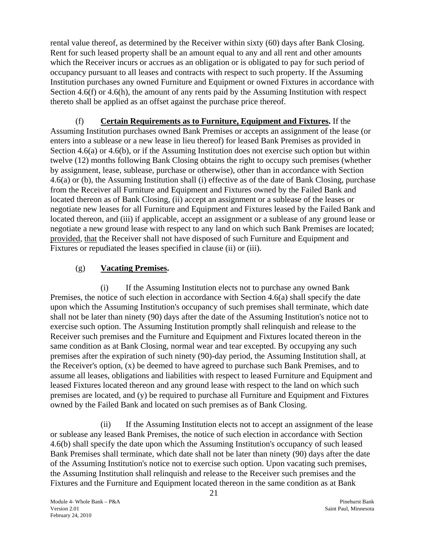rental value thereof, as determined by the Receiver within sixty (60) days after Bank Closing. Rent for such leased property shall be an amount equal to any and all rent and other amounts which the Receiver incurs or accrues as an obligation or is obligated to pay for such period of occupancy pursuant to all leases and contracts with respect to such property. If the Assuming Institution purchases any owned Furniture and Equipment or owned Fixtures in accordance with Section 4.6(f) or 4.6(h), the amount of any rents paid by the Assuming Institution with respect thereto shall be applied as an offset against the purchase price thereof.

(f) **Certain Requirements as to Furniture, Equipment and Fixtures.** If the Assuming Institution purchases owned Bank Premises or accepts an assignment of the lease (or enters into a sublease or a new lease in lieu thereof) for leased Bank Premises as provided in Section 4.6(a) or 4.6(b), or if the Assuming Institution does not exercise such option but within twelve (12) months following Bank Closing obtains the right to occupy such premises (whether by assignment, lease, sublease, purchase or otherwise), other than in accordance with Section 4.6(a) or (b), the Assuming Institution shall (i) effective as of the date of Bank Closing, purchase from the Receiver all Furniture and Equipment and Fixtures owned by the Failed Bank and located thereon as of Bank Closing, (ii) accept an assignment or a sublease of the leases or negotiate new leases for all Furniture and Equipment and Fixtures leased by the Failed Bank and located thereon, and (iii) if applicable, accept an assignment or a sublease of any ground lease or negotiate a new ground lease with respect to any land on which such Bank Premises are located; provided, that the Receiver shall not have disposed of such Furniture and Equipment and Fixtures or repudiated the leases specified in clause (ii) or (iii).

## (g) **Vacating Premises.**

(i) If the Assuming Institution elects not to purchase any owned Bank Premises, the notice of such election in accordance with Section 4.6(a) shall specify the date upon which the Assuming Institution's occupancy of such premises shall terminate, which date shall not be later than ninety (90) days after the date of the Assuming Institution's notice not to exercise such option. The Assuming Institution promptly shall relinquish and release to the Receiver such premises and the Furniture and Equipment and Fixtures located thereon in the same condition as at Bank Closing, normal wear and tear excepted. By occupying any such premises after the expiration of such ninety (90)-day period, the Assuming Institution shall, at the Receiver's option, (x) be deemed to have agreed to purchase such Bank Premises, and to assume all leases, obligations and liabilities with respect to leased Furniture and Equipment and leased Fixtures located thereon and any ground lease with respect to the land on which such premises are located, and (y) be required to purchase all Furniture and Equipment and Fixtures owned by the Failed Bank and located on such premises as of Bank Closing.

(ii) If the Assuming Institution elects not to accept an assignment of the lease or sublease any leased Bank Premises, the notice of such election in accordance with Section 4.6(b) shall specify the date upon which the Assuming Institution's occupancy of such leased Bank Premises shall terminate, which date shall not be later than ninety (90) days after the date of the Assuming Institution's notice not to exercise such option. Upon vacating such premises, the Assuming Institution shall relinquish and release to the Receiver such premises and the Fixtures and the Furniture and Equipment located thereon in the same condition as at Bank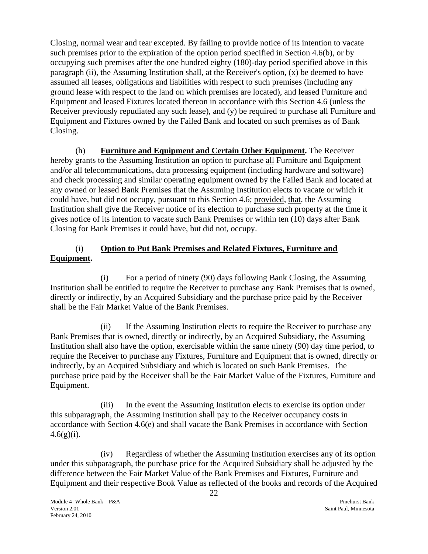Closing, normal wear and tear excepted. By failing to provide notice of its intention to vacate such premises prior to the expiration of the option period specified in Section 4.6(b), or by occupying such premises after the one hundred eighty (180)-day period specified above in this paragraph (ii), the Assuming Institution shall, at the Receiver's option, (x) be deemed to have assumed all leases, obligations and liabilities with respect to such premises (including any ground lease with respect to the land on which premises are located), and leased Furniture and Equipment and leased Fixtures located thereon in accordance with this Section 4.6 (unless the Receiver previously repudiated any such lease), and (y) be required to purchase all Furniture and Equipment and Fixtures owned by the Failed Bank and located on such premises as of Bank Closing.

(h) **Furniture and Equipment and Certain Other Equipment.** The Receiver hereby grants to the Assuming Institution an option to purchase all Furniture and Equipment and/or all telecommunications, data processing equipment (including hardware and software) and check processing and similar operating equipment owned by the Failed Bank and located at any owned or leased Bank Premises that the Assuming Institution elects to vacate or which it could have, but did not occupy, pursuant to this Section 4.6; provided, that, the Assuming Institution shall give the Receiver notice of its election to purchase such property at the time it gives notice of its intention to vacate such Bank Premises or within ten (10) days after Bank Closing for Bank Premises it could have, but did not, occupy.

# (i) **Option to Put Bank Premises and Related Fixtures, Furniture and Equipment.**

(i) For a period of ninety (90) days following Bank Closing, the Assuming Institution shall be entitled to require the Receiver to purchase any Bank Premises that is owned, directly or indirectly, by an Acquired Subsidiary and the purchase price paid by the Receiver shall be the Fair Market Value of the Bank Premises.

(ii) If the Assuming Institution elects to require the Receiver to purchase any Bank Premises that is owned, directly or indirectly, by an Acquired Subsidiary, the Assuming Institution shall also have the option, exercisable within the same ninety (90) day time period, to require the Receiver to purchase any Fixtures, Furniture and Equipment that is owned, directly or indirectly, by an Acquired Subsidiary and which is located on such Bank Premises. The purchase price paid by the Receiver shall be the Fair Market Value of the Fixtures, Furniture and Equipment.

(iii) In the event the Assuming Institution elects to exercise its option under this subparagraph, the Assuming Institution shall pay to the Receiver occupancy costs in accordance with Section 4.6(e) and shall vacate the Bank Premises in accordance with Section  $4.6(g)(i)$ .

(iv) Regardless of whether the Assuming Institution exercises any of its option under this subparagraph, the purchase price for the Acquired Subsidiary shall be adjusted by the difference between the Fair Market Value of the Bank Premises and Fixtures, Furniture and Equipment and their respective Book Value as reflected of the books and records of the Acquired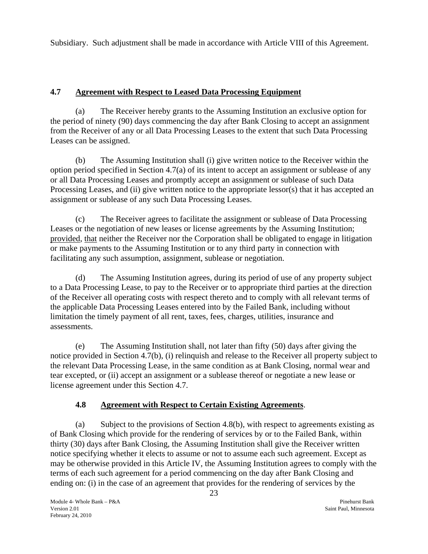<span id="page-26-0"></span>Subsidiary. Such adjustment shall be made in accordance with Article VIII of this Agreement.

# **4.7 Agreement with Respect to Leased Data Processing Equipment**

(a) The Receiver hereby grants to the Assuming Institution an exclusive option for the period of ninety (90) days commencing the day after Bank Closing to accept an assignment from the Receiver of any or all Data Processing Leases to the extent that such Data Processing Leases can be assigned.

(b) The Assuming Institution shall (i) give written notice to the Receiver within the option period specified in Section 4.7(a) of its intent to accept an assignment or sublease of any or all Data Processing Leases and promptly accept an assignment or sublease of such Data Processing Leases, and (ii) give written notice to the appropriate lessor(s) that it has accepted an assignment or sublease of any such Data Processing Leases.

(c) The Receiver agrees to facilitate the assignment or sublease of Data Processing Leases or the negotiation of new leases or license agreements by the Assuming Institution; provided, that neither the Receiver nor the Corporation shall be obligated to engage in litigation or make payments to the Assuming Institution or to any third party in connection with facilitating any such assumption, assignment, sublease or negotiation.

(d) The Assuming Institution agrees, during its period of use of any property subject to a Data Processing Lease, to pay to the Receiver or to appropriate third parties at the direction of the Receiver all operating costs with respect thereto and to comply with all relevant terms of the applicable Data Processing Leases entered into by the Failed Bank, including without limitation the timely payment of all rent, taxes, fees, charges, utilities, insurance and assessments.

(e) The Assuming Institution shall, not later than fifty (50) days after giving the notice provided in Section 4.7(b), (i) relinquish and release to the Receiver all property subject to the relevant Data Processing Lease, in the same condition as at Bank Closing, normal wear and tear excepted, or (ii) accept an assignment or a sublease thereof or negotiate a new lease or license agreement under this Section 4.7.

# **4.8 Agreement with Respect to Certain Existing Agreements**.

<span id="page-26-1"></span>(a) Subject to the provisions of Section 4.8(b), with respect to agreements existing as of Bank Closing which provide for the rendering of services by or to the Failed Bank, within thirty (30) days after Bank Closing, the Assuming Institution shall give the Receiver written notice specifying whether it elects to assume or not to assume each such agreement. Except as may be otherwise provided in this Article IV, the Assuming Institution agrees to comply with the terms of each such agreement for a period commencing on the day after Bank Closing and ending on: (i) in the case of an agreement that provides for the rendering of services by the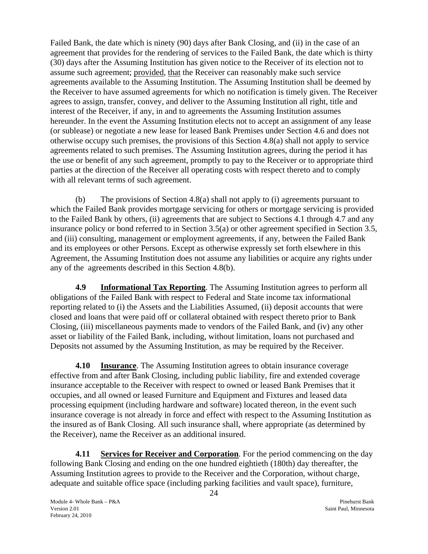Failed Bank, the date which is ninety (90) days after Bank Closing, and (ii) in the case of an agreement that provides for the rendering of services to the Failed Bank, the date which is thirty (30) days after the Assuming Institution has given notice to the Receiver of its election not to assume such agreement; provided, that the Receiver can reasonably make such service agreements available to the Assuming Institution. The Assuming Institution shall be deemed by the Receiver to have assumed agreements for which no notification is timely given. The Receiver agrees to assign, transfer, convey, and deliver to the Assuming Institution all right, title and interest of the Receiver, if any, in and to agreements the Assuming Institution assumes hereunder. In the event the Assuming Institution elects not to accept an assignment of any lease (or sublease) or negotiate a new lease for leased Bank Premises under Section 4.6 and does not otherwise occupy such premises, the provisions of this Section 4.8(a) shall not apply to service agreements related to such premises. The Assuming Institution agrees, during the period it has the use or benefit of any such agreement, promptly to pay to the Receiver or to appropriate third parties at the direction of the Receiver all operating costs with respect thereto and to comply with all relevant terms of such agreement.

(b) The provisions of Section 4.8(a) shall not apply to (i) agreements pursuant to which the Failed Bank provides mortgage servicing for others or mortgage servicing is provided to the Failed Bank by others, (ii) agreements that are subject to Sections 4.1 through 4.7 and any insurance policy or bond referred to in Section 3.5(a) or other agreement specified in Section 3.5, and (iii) consulting, management or employment agreements, if any, between the Failed Bank and its employees or other Persons. Except as otherwise expressly set forth elsewhere in this Agreement, the Assuming Institution does not assume any liabilities or acquire any rights under any of the agreements described in this Section 4.8(b).

<span id="page-27-0"></span>**4.9 Informational Tax Reporting**. The Assuming Institution agrees to perform all obligations of the Failed Bank with respect to Federal and State income tax informational reporting related to (i) the Assets and the Liabilities Assumed, (ii) deposit accounts that were closed and loans that were paid off or collateral obtained with respect thereto prior to Bank Closing, (iii) miscellaneous payments made to vendors of the Failed Bank, and (iv) any other asset or liability of the Failed Bank, including, without limitation, loans not purchased and Deposits not assumed by the Assuming Institution, as may be required by the Receiver.

<span id="page-27-1"></span>**4.10 Insurance**. The Assuming Institution agrees to obtain insurance coverage effective from and after Bank Closing, including public liability, fire and extended coverage insurance acceptable to the Receiver with respect to owned or leased Bank Premises that it occupies, and all owned or leased Furniture and Equipment and Fixtures and leased data processing equipment (including hardware and software) located thereon, in the event such insurance coverage is not already in force and effect with respect to the Assuming Institution as the insured as of Bank Closing. All such insurance shall, where appropriate (as determined by the Receiver), name the Receiver as an additional insured.

**4.11 Services for Receiver and Corporation**. For the period commencing on the day following Bank Closing and ending on the one hundred eightieth (180th) day thereafter, the Assuming Institution agrees to provide to the Receiver and the Corporation, without charge, adequate and suitable office space (including parking facilities and vault space), furniture,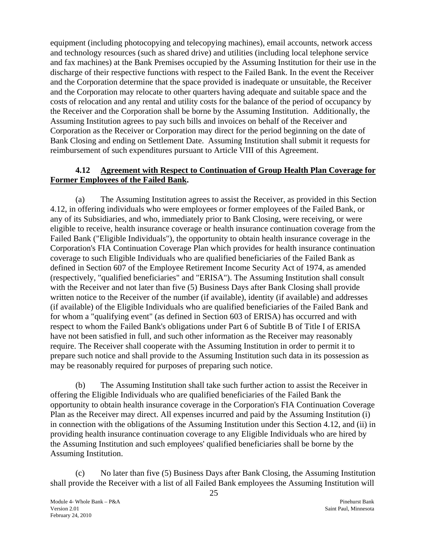equipment (including photocopying and telecopying machines), email accounts, network access and technology resources (such as shared drive) and utilities (including local telephone service and fax machines) at the Bank Premises occupied by the Assuming Institution for their use in the discharge of their respective functions with respect to the Failed Bank. In the event the Receiver and the Corporation determine that the space provided is inadequate or unsuitable, the Receiver and the Corporation may relocate to other quarters having adequate and suitable space and the costs of relocation and any rental and utility costs for the balance of the period of occupancy by the Receiver and the Corporation shall be borne by the Assuming Institution. Additionally, the Assuming Institution agrees to pay such bills and invoices on behalf of the Receiver and Corporation as the Receiver or Corporation may direct for the period beginning on the date of Bank Closing and ending on Settlement Date. Assuming Institution shall submit it requests for reimbursement of such expenditures pursuant to Article VIII of this Agreement.

### <span id="page-28-0"></span>**4.12 Agreement with Respect to Continuation of Group Health Plan Coverage for Former Employees of the Failed Bank.**

(a) The Assuming Institution agrees to assist the Receiver, as provided in this Section 4.12, in offering individuals who were employees or former employees of the Failed Bank, or any of its Subsidiaries, and who, immediately prior to Bank Closing, were receiving, or were eligible to receive, health insurance coverage or health insurance continuation coverage from the Failed Bank ("Eligible Individuals"), the opportunity to obtain health insurance coverage in the Corporation's FIA Continuation Coverage Plan which provides for health insurance continuation coverage to such Eligible Individuals who are qualified beneficiaries of the Failed Bank as defined in Section 607 of the Employee Retirement Income Security Act of 1974, as amended (respectively, "qualified beneficiaries" and "ERISA"). The Assuming Institution shall consult with the Receiver and not later than five (5) Business Days after Bank Closing shall provide written notice to the Receiver of the number (if available), identity (if available) and addresses (if available) of the Eligible Individuals who are qualified beneficiaries of the Failed Bank and for whom a "qualifying event" (as defined in Section 603 of ERISA) has occurred and with respect to whom the Failed Bank's obligations under Part 6 of Subtitle B of Title I of ERISA have not been satisfied in full, and such other information as the Receiver may reasonably require. The Receiver shall cooperate with the Assuming Institution in order to permit it to prepare such notice and shall provide to the Assuming Institution such data in its possession as may be reasonably required for purposes of preparing such notice.

(b) The Assuming Institution shall take such further action to assist the Receiver in offering the Eligible Individuals who are qualified beneficiaries of the Failed Bank the opportunity to obtain health insurance coverage in the Corporation's FIA Continuation Coverage Plan as the Receiver may direct. All expenses incurred and paid by the Assuming Institution (i) in connection with the obligations of the Assuming Institution under this Section 4.12, and (ii) in providing health insurance continuation coverage to any Eligible Individuals who are hired by the Assuming Institution and such employees' qualified beneficiaries shall be borne by the Assuming Institution.

(c) No later than five (5) Business Days after Bank Closing, the Assuming Institution shall provide the Receiver with a list of all Failed Bank employees the Assuming Institution will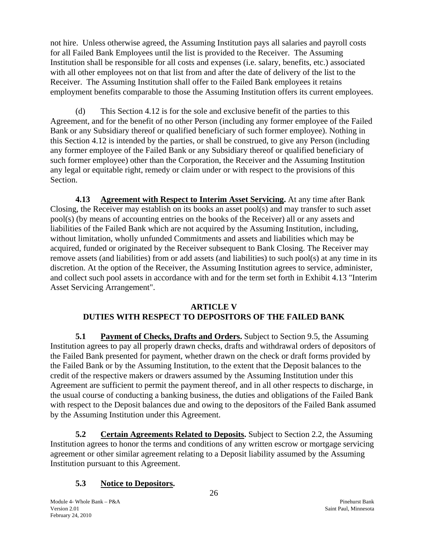not hire. Unless otherwise agreed, the Assuming Institution pays all salaries and payroll costs for all Failed Bank Employees until the list is provided to the Receiver. The Assuming Institution shall be responsible for all costs and expenses (i.e. salary, benefits, etc.) associated with all other employees not on that list from and after the date of delivery of the list to the Receiver. The Assuming Institution shall offer to the Failed Bank employees it retains employment benefits comparable to those the Assuming Institution offers its current employees.

(d) This Section 4.12 is for the sole and exclusive benefit of the parties to this Agreement, and for the benefit of no other Person (including any former employee of the Failed Bank or any Subsidiary thereof or qualified beneficiary of such former employee). Nothing in this Section 4.12 is intended by the parties, or shall be construed, to give any Person (including any former employee of the Failed Bank or any Subsidiary thereof or qualified beneficiary of such former employee) other than the Corporation, the Receiver and the Assuming Institution any legal or equitable right, remedy or claim under or with respect to the provisions of this Section.

<span id="page-29-0"></span>**4.13 Agreement with Respect to Interim Asset Servicing.** At any time after Bank Closing, the Receiver may establish on its books an asset pool(s) and may transfer to such asset pool(s) (by means of accounting entries on the books of the Receiver) all or any assets and liabilities of the Failed Bank which are not acquired by the Assuming Institution, including, without limitation, wholly unfunded Commitments and assets and liabilities which may be acquired, funded or originated by the Receiver subsequent to Bank Closing. The Receiver may remove assets (and liabilities) from or add assets (and liabilities) to such pool(s) at any time in its discretion. At the option of the Receiver, the Assuming Institution agrees to service, administer, and collect such pool assets in accordance with and for the term set forth in Exhibit 4.13 "Interim Asset Servicing Arrangement".

# **ARTICLE V DUTIES WITH RESPECT TO DEPOSITORS OF THE FAILED BANK**

<span id="page-29-2"></span><span id="page-29-1"></span>**5.1 Payment of Checks, Drafts and Orders.** Subject to Section 9.5, the Assuming Institution agrees to pay all properly drawn checks, drafts and withdrawal orders of depositors of the Failed Bank presented for payment, whether drawn on the check or draft forms provided by the Failed Bank or by the Assuming Institution, to the extent that the Deposit balances to the credit of the respective makers or drawers assumed by the Assuming Institution under this Agreement are sufficient to permit the payment thereof, and in all other respects to discharge, in the usual course of conducting a banking business, the duties and obligations of the Failed Bank with respect to the Deposit balances due and owing to the depositors of the Failed Bank assumed by the Assuming Institution under this Agreement.

<span id="page-29-3"></span>**5.2** Certain Agreements Related to Deposits. Subject to Section 2.2, the Assuming Institution agrees to honor the terms and conditions of any written escrow or mortgage servicing agreement or other similar agreement relating to a Deposit liability assumed by the Assuming Institution pursuant to this Agreement.

# **5.3 Notice to Depositors.**

<span id="page-29-4"></span>Module 4- Whole Bank – P&A Pinehurst Bank Version 2.01 Saint Paul, Minnesota February 24, 2010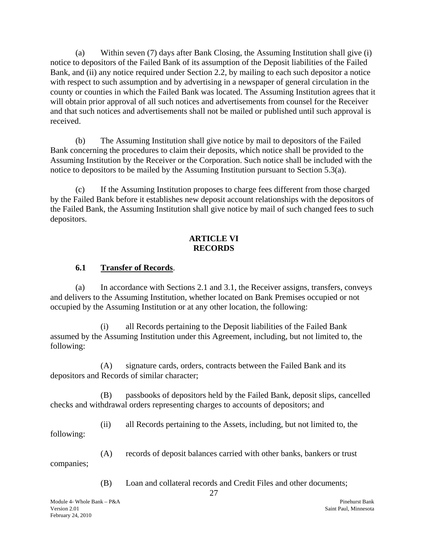(a) Within seven (7) days after Bank Closing, the Assuming Institution shall give (i) notice to depositors of the Failed Bank of its assumption of the Deposit liabilities of the Failed Bank, and (ii) any notice required under Section 2.2, by mailing to each such depositor a notice with respect to such assumption and by advertising in a newspaper of general circulation in the county or counties in which the Failed Bank was located. The Assuming Institution agrees that it will obtain prior approval of all such notices and advertisements from counsel for the Receiver and that such notices and advertisements shall not be mailed or published until such approval is received.

(b) The Assuming Institution shall give notice by mail to depositors of the Failed Bank concerning the procedures to claim their deposits, which notice shall be provided to the Assuming Institution by the Receiver or the Corporation. Such notice shall be included with the notice to depositors to be mailed by the Assuming Institution pursuant to Section 5.3(a).

(c) If the Assuming Institution proposes to charge fees different from those charged by the Failed Bank before it establishes new deposit account relationships with the depositors of the Failed Bank, the Assuming Institution shall give notice by mail of such changed fees to such depositors.

#### **ARTICLE VI RECORDS**

## **6.1 Transfer of Records**.

<span id="page-30-1"></span><span id="page-30-0"></span>(a) In accordance with Sections 2.1 and 3.1, the Receiver assigns, transfers, conveys and delivers to the Assuming Institution, whether located on Bank Premises occupied or not occupied by the Assuming Institution or at any other location, the following:

(i) all Records pertaining to the Deposit liabilities of the Failed Bank assumed by the Assuming Institution under this Agreement, including, but not limited to, the following:

(A) signature cards, orders, contracts between the Failed Bank and its depositors and Records of similar character;

(B) passbooks of depositors held by the Failed Bank, deposit slips, cancelled checks and withdrawal orders representing charges to accounts of depositors; and

following: (ii) all Records pertaining to the Assets, including, but not limited to, the

companies; (A) records of deposit balances carried with other banks, bankers or trust

> (B) Loan and collateral records and Credit Files and other documents;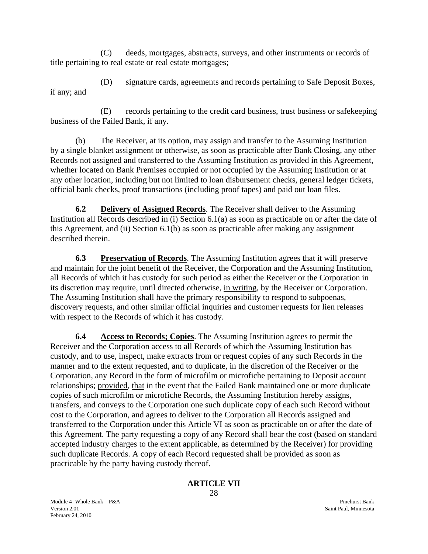(C) deeds, mortgages, abstracts, surveys, and other instruments or records of title pertaining to real estate or real estate mortgages;

(D) signature cards, agreements and records pertaining to Safe Deposit Boxes, if any; and

(E) records pertaining to the credit card business, trust business or safekeeping business of the Failed Bank, if any.

(b) The Receiver, at its option, may assign and transfer to the Assuming Institution by a single blanket assignment or otherwise, as soon as practicable after Bank Closing, any other Records not assigned and transferred to the Assuming Institution as provided in this Agreement, whether located on Bank Premises occupied or not occupied by the Assuming Institution or at any other location, including but not limited to loan disbursement checks, general ledger tickets, official bank checks, proof transactions (including proof tapes) and paid out loan files.

<span id="page-31-0"></span>**6.2** Delivery of Assigned Records. The Receiver shall deliver to the Assuming Institution all Records described in (i) Section 6.1(a) as soon as practicable on or after the date of this Agreement, and (ii) Section 6.1(b) as soon as practicable after making any assignment described therein.

<span id="page-31-1"></span>**6.3 Preservation of Records**. The Assuming Institution agrees that it will preserve and maintain for the joint benefit of the Receiver, the Corporation and the Assuming Institution, all Records of which it has custody for such period as either the Receiver or the Corporation in its discretion may require, until directed otherwise, in writing, by the Receiver or Corporation. The Assuming Institution shall have the primary responsibility to respond to subpoenas, discovery requests, and other similar official inquiries and customer requests for lien releases with respect to the Records of which it has custody.

**6.4** Access to Records; Copies. The Assuming Institution agrees to permit the Receiver and the Corporation access to all Records of which the Assuming Institution has custody, and to use, inspect, make extracts from or request copies of any such Records in the manner and to the extent requested, and to duplicate, in the discretion of the Receiver or the Corporation, any Record in the form of microfilm or microfiche pertaining to Deposit account relationships; provided, that in the event that the Failed Bank maintained one or more duplicate copies of such microfilm or microfiche Records, the Assuming Institution hereby assigns, transfers, and conveys to the Corporation one such duplicate copy of each such Record without cost to the Corporation, and agrees to deliver to the Corporation all Records assigned and transferred to the Corporation under this Article VI as soon as practicable on or after the date of this Agreement. The party requesting a copy of any Record shall bear the cost (based on standard accepted industry charges to the extent applicable, as determined by the Receiver) for providing such duplicate Records. A copy of each Record requested shall be provided as soon as practicable by the party having custody thereof.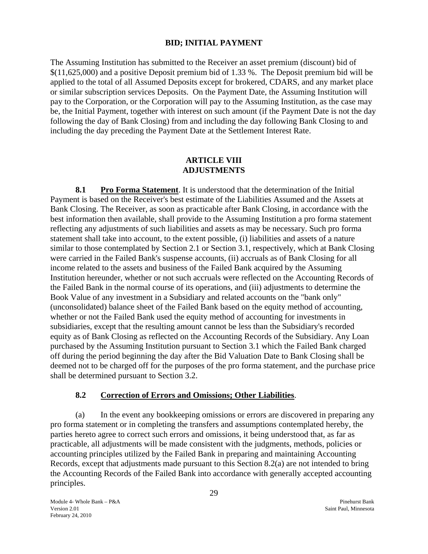#### **BID; INITIAL PAYMENT**

<span id="page-32-0"></span>The Assuming Institution has submitted to the Receiver an asset premium (discount) bid of \$(11,625,000) and a positive Deposit premium bid of 1.33 %. The Deposit premium bid will be applied to the total of all Assumed Deposits except for brokered, CDARS, and any market place or similar subscription services Deposits. On the Payment Date, the Assuming Institution will pay to the Corporation, or the Corporation will pay to the Assuming Institution, as the case may be, the Initial Payment, together with interest on such amount (if the Payment Date is not the day following the day of Bank Closing) from and including the day following Bank Closing to and including the day preceding the Payment Date at the Settlement Interest Rate.

#### **ARTICLE VIII ADJUSTMENTS**

<span id="page-32-2"></span><span id="page-32-1"></span>**8.1 Pro Forma Statement**. It is understood that the determination of the Initial Payment is based on the Receiver's best estimate of the Liabilities Assumed and the Assets at Bank Closing. The Receiver, as soon as practicable after Bank Closing, in accordance with the best information then available, shall provide to the Assuming Institution a pro forma statement reflecting any adjustments of such liabilities and assets as may be necessary. Such pro forma statement shall take into account, to the extent possible, (i) liabilities and assets of a nature similar to those contemplated by Section 2.1 or Section 3.1, respectively, which at Bank Closing were carried in the Failed Bank's suspense accounts, (ii) accruals as of Bank Closing for all income related to the assets and business of the Failed Bank acquired by the Assuming Institution hereunder, whether or not such accruals were reflected on the Accounting Records of the Failed Bank in the normal course of its operations, and (iii) adjustments to determine the Book Value of any investment in a Subsidiary and related accounts on the "bank only" (unconsolidated) balance sheet of the Failed Bank based on the equity method of accounting, whether or not the Failed Bank used the equity method of accounting for investments in subsidiaries, except that the resulting amount cannot be less than the Subsidiary's recorded equity as of Bank Closing as reflected on the Accounting Records of the Subsidiary. Any Loan purchased by the Assuming Institution pursuant to Section 3.1 which the Failed Bank charged off during the period beginning the day after the Bid Valuation Date to Bank Closing shall be deemed not to be charged off for the purposes of the pro forma statement, and the purchase price shall be determined pursuant to Section 3.2.

#### **8.2 Correction of Errors and Omissions; Other Liabilities**.

<span id="page-32-3"></span>(a) In the event any bookkeeping omissions or errors are discovered in preparing any pro forma statement or in completing the transfers and assumptions contemplated hereby, the parties hereto agree to correct such errors and omissions, it being understood that, as far as practicable, all adjustments will be made consistent with the judgments, methods, policies or accounting principles utilized by the Failed Bank in preparing and maintaining Accounting Records, except that adjustments made pursuant to this Section 8.2(a) are not intended to bring the Accounting Records of the Failed Bank into accordance with generally accepted accounting principles.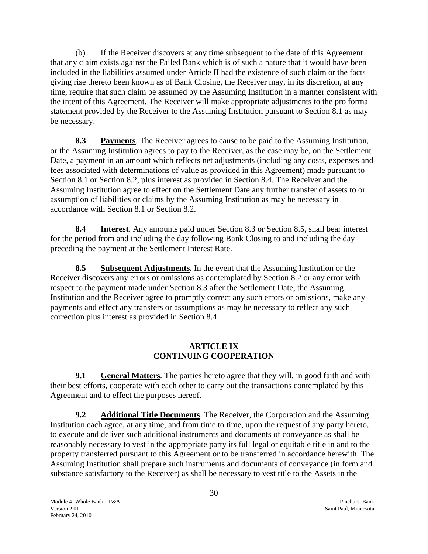(b) If the Receiver discovers at any time subsequent to the date of this Agreement that any claim exists against the Failed Bank which is of such a nature that it would have been included in the liabilities assumed under Article II had the existence of such claim or the facts giving rise thereto been known as of Bank Closing, the Receiver may, in its discretion, at any time, require that such claim be assumed by the Assuming Institution in a manner consistent with the intent of this Agreement. The Receiver will make appropriate adjustments to the pro forma statement provided by the Receiver to the Assuming Institution pursuant to Section 8.1 as may be necessary.

<span id="page-33-0"></span>**8.3 Payments**. The Receiver agrees to cause to be paid to the Assuming Institution, or the Assuming Institution agrees to pay to the Receiver, as the case may be, on the Settlement Date, a payment in an amount which reflects net adjustments (including any costs, expenses and fees associated with determinations of value as provided in this Agreement) made pursuant to Section 8.1 or Section 8.2, plus interest as provided in Section 8.4. The Receiver and the Assuming Institution agree to effect on the Settlement Date any further transfer of assets to or assumption of liabilities or claims by the Assuming Institution as may be necessary in accordance with Section 8.1 or Section 8.2.

<span id="page-33-1"></span>**8.4 Interest**. Any amounts paid under Section 8.3 or Section 8.5, shall bear interest for the period from and including the day following Bank Closing to and including the day preceding the payment at the Settlement Interest Rate.

<span id="page-33-2"></span>**8.5 Subsequent Adjustments.** In the event that the Assuming Institution or the Receiver discovers any errors or omissions as contemplated by Section 8.2 or any error with respect to the payment made under Section 8.3 after the Settlement Date, the Assuming Institution and the Receiver agree to promptly correct any such errors or omissions, make any payments and effect any transfers or assumptions as may be necessary to reflect any such correction plus interest as provided in Section 8.4.

## **ARTICLE IX CONTINUING COOPERATION**

<span id="page-33-4"></span><span id="page-33-3"></span>**9.1** General Matters. The parties hereto agree that they will, in good faith and with their best efforts, cooperate with each other to carry out the transactions contemplated by this Agreement and to effect the purposes hereof.

<span id="page-33-5"></span>**9.2** Additional Title Documents. The Receiver, the Corporation and the Assuming Institution each agree, at any time, and from time to time, upon the request of any party hereto, to execute and deliver such additional instruments and documents of conveyance as shall be reasonably necessary to vest in the appropriate party its full legal or equitable title in and to the property transferred pursuant to this Agreement or to be transferred in accordance herewith. The Assuming Institution shall prepare such instruments and documents of conveyance (in form and substance satisfactory to the Receiver) as shall be necessary to vest title to the Assets in the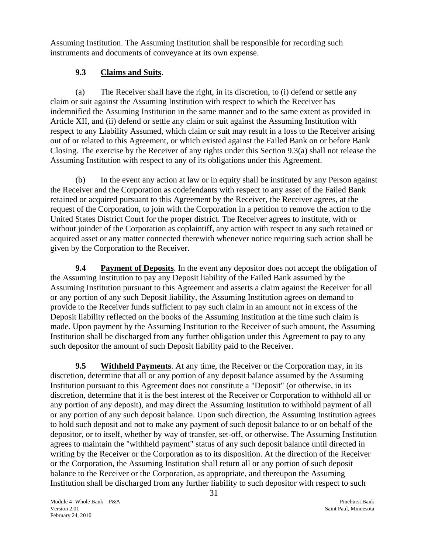Assuming Institution. The Assuming Institution shall be responsible for recording such instruments and documents of conveyance at its own expense.

# **9.3 Claims and Suits**.

<span id="page-34-0"></span>(a) The Receiver shall have the right, in its discretion, to (i) defend or settle any claim or suit against the Assuming Institution with respect to which the Receiver has indemnified the Assuming Institution in the same manner and to the same extent as provided in Article XII, and (ii) defend or settle any claim or suit against the Assuming Institution with respect to any Liability Assumed, which claim or suit may result in a loss to the Receiver arising out of or related to this Agreement, or which existed against the Failed Bank on or before Bank Closing. The exercise by the Receiver of any rights under this Section 9.3(a) shall not release the Assuming Institution with respect to any of its obligations under this Agreement.

(b) In the event any action at law or in equity shall be instituted by any Person against the Receiver and the Corporation as codefendants with respect to any asset of the Failed Bank retained or acquired pursuant to this Agreement by the Receiver, the Receiver agrees, at the request of the Corporation, to join with the Corporation in a petition to remove the action to the United States District Court for the proper district. The Receiver agrees to institute, with or without joinder of the Corporation as coplaintiff, any action with respect to any such retained or acquired asset or any matter connected therewith whenever notice requiring such action shall be given by the Corporation to the Receiver.

<span id="page-34-1"></span>**9.4** Payment of Deposits. In the event any depositor does not accept the obligation of the Assuming Institution to pay any Deposit liability of the Failed Bank assumed by the Assuming Institution pursuant to this Agreement and asserts a claim against the Receiver for all or any portion of any such Deposit liability, the Assuming Institution agrees on demand to provide to the Receiver funds sufficient to pay such claim in an amount not in excess of the Deposit liability reflected on the books of the Assuming Institution at the time such claim is made. Upon payment by the Assuming Institution to the Receiver of such amount, the Assuming Institution shall be discharged from any further obligation under this Agreement to pay to any such depositor the amount of such Deposit liability paid to the Receiver.

<span id="page-34-2"></span>**9.5 Withheld Payments**. At any time, the Receiver or the Corporation may, in its discretion, determine that all or any portion of any deposit balance assumed by the Assuming Institution pursuant to this Agreement does not constitute a "Deposit" (or otherwise, in its discretion, determine that it is the best interest of the Receiver or Corporation to withhold all or any portion of any deposit), and may direct the Assuming Institution to withhold payment of all or any portion of any such deposit balance. Upon such direction, the Assuming Institution agrees to hold such deposit and not to make any payment of such deposit balance to or on behalf of the depositor, or to itself, whether by way of transfer, set-off, or otherwise. The Assuming Institution agrees to maintain the "withheld payment" status of any such deposit balance until directed in writing by the Receiver or the Corporation as to its disposition. At the direction of the Receiver or the Corporation, the Assuming Institution shall return all or any portion of such deposit balance to the Receiver or the Corporation, as appropriate, and thereupon the Assuming Institution shall be discharged from any further liability to such depositor with respect to such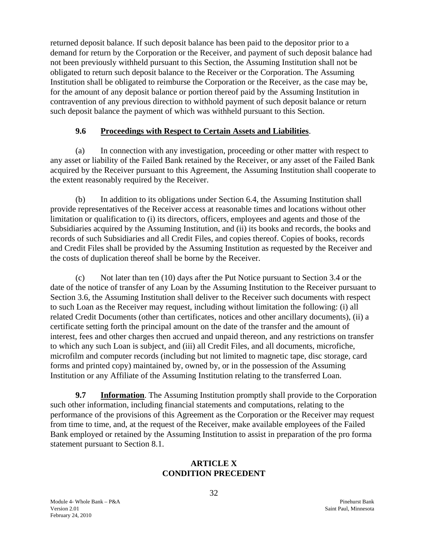returned deposit balance. If such deposit balance has been paid to the depositor prior to a demand for return by the Corporation or the Receiver, and payment of such deposit balance had not been previously withheld pursuant to this Section, the Assuming Institution shall not be obligated to return such deposit balance to the Receiver or the Corporation. The Assuming Institution shall be obligated to reimburse the Corporation or the Receiver, as the case may be, for the amount of any deposit balance or portion thereof paid by the Assuming Institution in contravention of any previous direction to withhold payment of such deposit balance or return such deposit balance the payment of which was withheld pursuant to this Section.

## **9.6 Proceedings with Respect to Certain Assets and Liabilities**.

<span id="page-35-0"></span>(a) In connection with any investigation, proceeding or other matter with respect to any asset or liability of the Failed Bank retained by the Receiver, or any asset of the Failed Bank acquired by the Receiver pursuant to this Agreement, the Assuming Institution shall cooperate to the extent reasonably required by the Receiver.

(b) In addition to its obligations under Section 6.4, the Assuming Institution shall provide representatives of the Receiver access at reasonable times and locations without other limitation or qualification to (i) its directors, officers, employees and agents and those of the Subsidiaries acquired by the Assuming Institution, and (ii) its books and records, the books and records of such Subsidiaries and all Credit Files, and copies thereof. Copies of books, records and Credit Files shall be provided by the Assuming Institution as requested by the Receiver and the costs of duplication thereof shall be borne by the Receiver.

(c) Not later than ten (10) days after the Put Notice pursuant to Section 3.4 or the date of the notice of transfer of any Loan by the Assuming Institution to the Receiver pursuant to Section 3.6, the Assuming Institution shall deliver to the Receiver such documents with respect to such Loan as the Receiver may request, including without limitation the following: (i) all related Credit Documents (other than certificates, notices and other ancillary documents), (ii) a certificate setting forth the principal amount on the date of the transfer and the amount of interest, fees and other charges then accrued and unpaid thereon, and any restrictions on transfer to which any such Loan is subject, and (iii) all Credit Files, and all documents, microfiche, microfilm and computer records (including but not limited to magnetic tape, disc storage, card forms and printed copy) maintained by, owned by, or in the possession of the Assuming Institution or any Affiliate of the Assuming Institution relating to the transferred Loan.

<span id="page-35-2"></span><span id="page-35-1"></span>**9.7** Information. The Assuming Institution promptly shall provide to the Corporation such other information, including financial statements and computations, relating to the performance of the provisions of this Agreement as the Corporation or the Receiver may request from time to time, and, at the request of the Receiver, make available employees of the Failed Bank employed or retained by the Assuming Institution to assist in preparation of the pro forma statement pursuant to Section 8.1.

#### **ARTICLE X CONDITION PRECEDENT**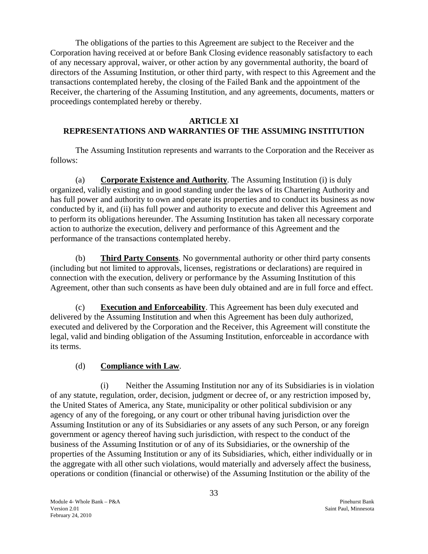The obligations of the parties to this Agreement are subject to the Receiver and the Corporation having received at or before Bank Closing evidence reasonably satisfactory to each of any necessary approval, waiver, or other action by any governmental authority, the board of directors of the Assuming Institution, or other third party, with respect to this Agreement and the transactions contemplated hereby, the closing of the Failed Bank and the appointment of the Receiver, the chartering of the Assuming Institution, and any agreements, documents, matters or proceedings contemplated hereby or thereby.

#### **ARTICLE XI**

## **REPRESENTATIONS AND WARRANTIES OF THE ASSUMING INSTITUTION**

<span id="page-36-0"></span>The Assuming Institution represents and warrants to the Corporation and the Receiver as follows:

(a) **Corporate Existence and Authority**. The Assuming Institution (i) is duly organized, validly existing and in good standing under the laws of its Chartering Authority and has full power and authority to own and operate its properties and to conduct its business as now conducted by it, and (ii) has full power and authority to execute and deliver this Agreement and to perform its obligations hereunder. The Assuming Institution has taken all necessary corporate action to authorize the execution, delivery and performance of this Agreement and the performance of the transactions contemplated hereby.

(b) **Third Party Consents**. No governmental authority or other third party consents (including but not limited to approvals, licenses, registrations or declarations) are required in connection with the execution, delivery or performance by the Assuming Institution of this Agreement, other than such consents as have been duly obtained and are in full force and effect.

(c) **Execution and Enforceability**. This Agreement has been duly executed and delivered by the Assuming Institution and when this Agreement has been duly authorized, executed and delivered by the Corporation and the Receiver, this Agreement will constitute the legal, valid and binding obligation of the Assuming Institution, enforceable in accordance with its terms.

#### (d) **Compliance with Law**.

(i) Neither the Assuming Institution nor any of its Subsidiaries is in violation of any statute, regulation, order, decision, judgment or decree of, or any restriction imposed by, the United States of America, any State, municipality or other political subdivision or any agency of any of the foregoing, or any court or other tribunal having jurisdiction over the Assuming Institution or any of its Subsidiaries or any assets of any such Person, or any foreign government or agency thereof having such jurisdiction, with respect to the conduct of the business of the Assuming Institution or of any of its Subsidiaries, or the ownership of the properties of the Assuming Institution or any of its Subsidiaries, which, either individually or in the aggregate with all other such violations, would materially and adversely affect the business, operations or condition (financial or otherwise) of the Assuming Institution or the ability of the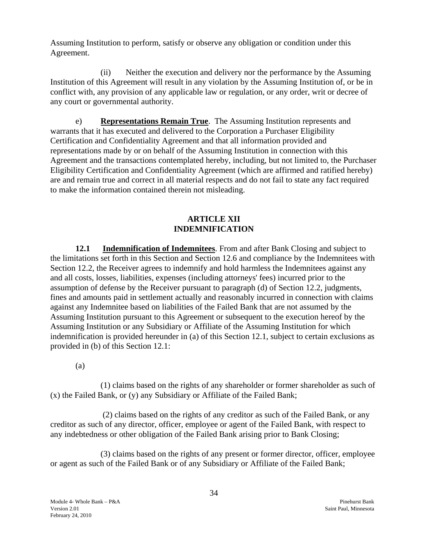Assuming Institution to perform, satisfy or observe any obligation or condition under this Agreement.

(ii) Neither the execution and delivery nor the performance by the Assuming Institution of this Agreement will result in any violation by the Assuming Institution of, or be in conflict with, any provision of any applicable law or regulation, or any order, writ or decree of any court or governmental authority.

e) **Representations Remain True**. The Assuming Institution represents and warrants that it has executed and delivered to the Corporation a Purchaser Eligibility Certification and Confidentiality Agreement and that all information provided and representations made by or on behalf of the Assuming Institution in connection with this Agreement and the transactions contemplated hereby, including, but not limited to, the Purchaser Eligibility Certification and Confidentiality Agreement (which are affirmed and ratified hereby) are and remain true and correct in all material respects and do not fail to state any fact required to make the information contained therein not misleading.

## **ARTICLE XII INDEMNIFICATION**

<span id="page-37-0"></span>**12.1 Indemnification of Indemnitees**. From and after Bank Closing and subject to the limitations set forth in this Section and Section 12.6 and compliance by the Indemnitees with Section 12.2, the Receiver agrees to indemnify and hold harmless the Indemnitees against any and all costs, losses, liabilities, expenses (including attorneys' fees) incurred prior to the assumption of defense by the Receiver pursuant to paragraph (d) of Section 12.2, judgments, fines and amounts paid in settlement actually and reasonably incurred in connection with claims against any Indemnitee based on liabilities of the Failed Bank that are not assumed by the Assuming Institution pursuant to this Agreement or subsequent to the execution hereof by the Assuming Institution or any Subsidiary or Affiliate of the Assuming Institution for which indemnification is provided hereunder in (a) of this Section 12.1, subject to certain exclusions as provided in (b) of this Section 12.1:

(a)

(1) claims based on the rights of any shareholder or former shareholder as such of (x) the Failed Bank, or (y) any Subsidiary or Affiliate of the Failed Bank;

(2) claims based on the rights of any creditor as such of the Failed Bank, or any creditor as such of any director, officer, employee or agent of the Failed Bank, with respect to any indebtedness or other obligation of the Failed Bank arising prior to Bank Closing;

(3) claims based on the rights of any present or former director, officer, employee or agent as such of the Failed Bank or of any Subsidiary or Affiliate of the Failed Bank;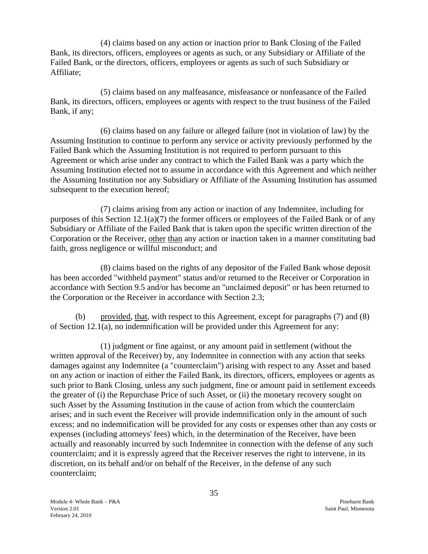(4) claims based on any action or inaction prior to Bank Closing of the Failed Bank, its directors, officers, employees or agents as such, or any Subsidiary or Affiliate of the Failed Bank, or the directors, officers, employees or agents as such of such Subsidiary or Affiliate;

(5) claims based on any malfeasance, misfeasance or nonfeasance of the Failed Bank, its directors, officers, employees or agents with respect to the trust business of the Failed Bank, if any;

(6) claims based on any failure or alleged failure (not in violation of law) by the Assuming Institution to continue to perform any service or activity previously performed by the Failed Bank which the Assuming Institution is not required to perform pursuant to this Agreement or which arise under any contract to which the Failed Bank was a party which the Assuming Institution elected not to assume in accordance with this Agreement and which neither the Assuming Institution nor any Subsidiary or Affiliate of the Assuming Institution has assumed subsequent to the execution hereof;

(7) claims arising from any action or inaction of any Indemnitee, including for purposes of this Section 12.1(a)(7) the former officers or employees of the Failed Bank or of any Subsidiary or Affiliate of the Failed Bank that is taken upon the specific written direction of the Corporation or the Receiver, other than any action or inaction taken in a manner constituting bad faith, gross negligence or willful misconduct; and

(8) claims based on the rights of any depositor of the Failed Bank whose deposit has been accorded "withheld payment" status and/or returned to the Receiver or Corporation in accordance with Section 9.5 and/or has become an "unclaimed deposit" or has been returned to the Corporation or the Receiver in accordance with Section 2.3;

(b) provided, that, with respect to this Agreement, except for paragraphs (7) and (8) of Section 12.1(a), no indemnification will be provided under this Agreement for any:

(1) judgment or fine against, or any amount paid in settlement (without the written approval of the Receiver) by, any Indemnitee in connection with any action that seeks damages against any Indemnitee (a "counterclaim") arising with respect to any Asset and based on any action or inaction of either the Failed Bank, its directors, officers, employees or agents as such prior to Bank Closing, unless any such judgment, fine or amount paid in settlement exceeds the greater of (i) the Repurchase Price of such Asset, or (ii) the monetary recovery sought on such Asset by the Assuming Institution in the cause of action from which the counterclaim arises; and in such event the Receiver will provide indemnification only in the amount of such excess; and no indemnification will be provided for any costs or expenses other than any costs or expenses (including attorneys' fees) which, in the determination of the Receiver, have been actually and reasonably incurred by such Indemnitee in connection with the defense of any such counterclaim; and it is expressly agreed that the Receiver reserves the right to intervene, in its discretion, on its behalf and/or on behalf of the Receiver, in the defense of any such counterclaim;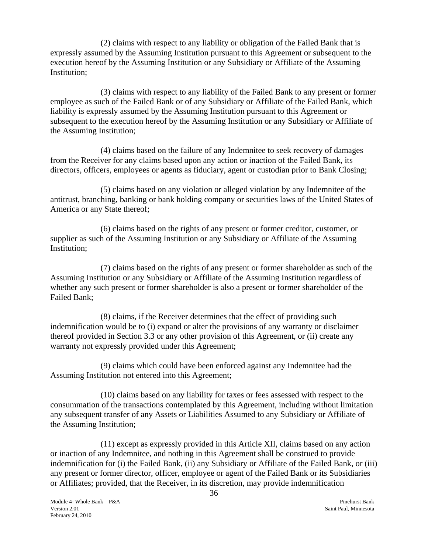(2) claims with respect to any liability or obligation of the Failed Bank that is expressly assumed by the Assuming Institution pursuant to this Agreement or subsequent to the execution hereof by the Assuming Institution or any Subsidiary or Affiliate of the Assuming Institution;

(3) claims with respect to any liability of the Failed Bank to any present or former employee as such of the Failed Bank or of any Subsidiary or Affiliate of the Failed Bank, which liability is expressly assumed by the Assuming Institution pursuant to this Agreement or subsequent to the execution hereof by the Assuming Institution or any Subsidiary or Affiliate of the Assuming Institution;

(4) claims based on the failure of any Indemnitee to seek recovery of damages from the Receiver for any claims based upon any action or inaction of the Failed Bank, its directors, officers, employees or agents as fiduciary, agent or custodian prior to Bank Closing;

(5) claims based on any violation or alleged violation by any Indemnitee of the antitrust, branching, banking or bank holding company or securities laws of the United States of America or any State thereof;

(6) claims based on the rights of any present or former creditor, customer, or supplier as such of the Assuming Institution or any Subsidiary or Affiliate of the Assuming Institution;

(7) claims based on the rights of any present or former shareholder as such of the Assuming Institution or any Subsidiary or Affiliate of the Assuming Institution regardless of whether any such present or former shareholder is also a present or former shareholder of the Failed Bank;

(8) claims, if the Receiver determines that the effect of providing such indemnification would be to (i) expand or alter the provisions of any warranty or disclaimer thereof provided in Section 3.3 or any other provision of this Agreement, or (ii) create any warranty not expressly provided under this Agreement;

(9) claims which could have been enforced against any Indemnitee had the Assuming Institution not entered into this Agreement;

(10) claims based on any liability for taxes or fees assessed with respect to the consummation of the transactions contemplated by this Agreement, including without limitation any subsequent transfer of any Assets or Liabilities Assumed to any Subsidiary or Affiliate of the Assuming Institution;

(11) except as expressly provided in this Article XII, claims based on any action or inaction of any Indemnitee, and nothing in this Agreement shall be construed to provide indemnification for (i) the Failed Bank, (ii) any Subsidiary or Affiliate of the Failed Bank, or (iii) any present or former director, officer, employee or agent of the Failed Bank or its Subsidiaries or Affiliates; provided, that the Receiver, in its discretion, may provide indemnification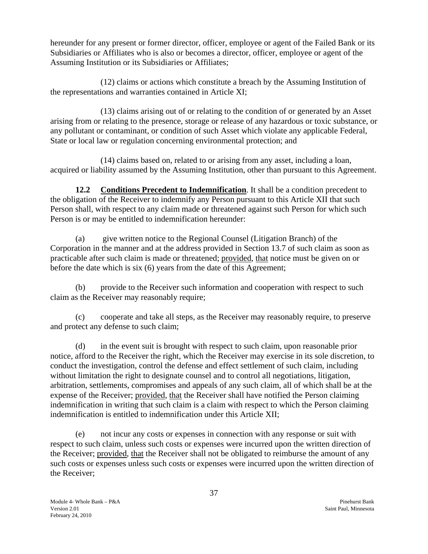hereunder for any present or former director, officer, employee or agent of the Failed Bank or its Subsidiaries or Affiliates who is also or becomes a director, officer, employee or agent of the Assuming Institution or its Subsidiaries or Affiliates;

(12) claims or actions which constitute a breach by the Assuming Institution of the representations and warranties contained in Article XI;

(13) claims arising out of or relating to the condition of or generated by an Asset arising from or relating to the presence, storage or release of any hazardous or toxic substance, or any pollutant or contaminant, or condition of such Asset which violate any applicable Federal, State or local law or regulation concerning environmental protection; and

(14) claims based on, related to or arising from any asset, including a loan, acquired or liability assumed by the Assuming Institution, other than pursuant to this Agreement.

<span id="page-40-0"></span>**12.2 Conditions Precedent to Indemnification**. It shall be a condition precedent to the obligation of the Receiver to indemnify any Person pursuant to this Article XII that such Person shall, with respect to any claim made or threatened against such Person for which such Person is or may be entitled to indemnification hereunder:

(a) give written notice to the Regional Counsel (Litigation Branch) of the Corporation in the manner and at the address provided in Section 13.7 of such claim as soon as practicable after such claim is made or threatened; provided, that notice must be given on or before the date which is six (6) years from the date of this Agreement;

(b) provide to the Receiver such information and cooperation with respect to such claim as the Receiver may reasonably require;

(c) cooperate and take all steps, as the Receiver may reasonably require, to preserve and protect any defense to such claim;

(d) in the event suit is brought with respect to such claim, upon reasonable prior notice, afford to the Receiver the right, which the Receiver may exercise in its sole discretion, to conduct the investigation, control the defense and effect settlement of such claim, including without limitation the right to designate counsel and to control all negotiations, litigation, arbitration, settlements, compromises and appeals of any such claim, all of which shall be at the expense of the Receiver; provided, that the Receiver shall have notified the Person claiming indemnification in writing that such claim is a claim with respect to which the Person claiming indemnification is entitled to indemnification under this Article XII;

(e) not incur any costs or expenses in connection with any response or suit with respect to such claim, unless such costs or expenses were incurred upon the written direction of the Receiver; provided, that the Receiver shall not be obligated to reimburse the amount of any such costs or expenses unless such costs or expenses were incurred upon the written direction of the Receiver;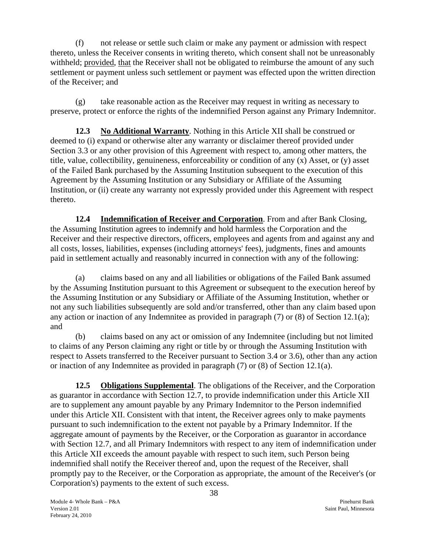(f) not release or settle such claim or make any payment or admission with respect thereto, unless the Receiver consents in writing thereto, which consent shall not be unreasonably withheld; provided, that the Receiver shall not be obligated to reimburse the amount of any such settlement or payment unless such settlement or payment was effected upon the written direction of the Receiver; and

(g) take reasonable action as the Receiver may request in writing as necessary to preserve, protect or enforce the rights of the indemnified Person against any Primary Indemnitor.

<span id="page-41-0"></span>**12.3 No Additional Warranty**. Nothing in this Article XII shall be construed or deemed to (i) expand or otherwise alter any warranty or disclaimer thereof provided under Section 3.3 or any other provision of this Agreement with respect to, among other matters, the title, value, collectibility, genuineness, enforceability or condition of any (x) Asset, or (y) asset of the Failed Bank purchased by the Assuming Institution subsequent to the execution of this Agreement by the Assuming Institution or any Subsidiary or Affiliate of the Assuming Institution, or (ii) create any warranty not expressly provided under this Agreement with respect thereto.

<span id="page-41-1"></span>**12.4 Indemnification of Receiver and Corporation**. From and after Bank Closing, the Assuming Institution agrees to indemnify and hold harmless the Corporation and the Receiver and their respective directors, officers, employees and agents from and against any and all costs, losses, liabilities, expenses (including attorneys' fees), judgments, fines and amounts paid in settlement actually and reasonably incurred in connection with any of the following:

(a) claims based on any and all liabilities or obligations of the Failed Bank assumed by the Assuming Institution pursuant to this Agreement or subsequent to the execution hereof by the Assuming Institution or any Subsidiary or Affiliate of the Assuming Institution, whether or not any such liabilities subsequently are sold and/or transferred, other than any claim based upon any action or inaction of any Indemnitee as provided in paragraph (7) or (8) of Section 12.1(a); and

(b) claims based on any act or omission of any Indemnitee (including but not limited to claims of any Person claiming any right or title by or through the Assuming Institution with respect to Assets transferred to the Receiver pursuant to Section 3.4 or 3.6), other than any action or inaction of any Indemnitee as provided in paragraph (7) or (8) of Section 12.1(a).

<span id="page-41-2"></span>**12.5 Obligations Supplemental**. The obligations of the Receiver, and the Corporation as guarantor in accordance with Section 12.7, to provide indemnification under this Article XII are to supplement any amount payable by any Primary Indemnitor to the Person indemnified under this Article XII. Consistent with that intent, the Receiver agrees only to make payments pursuant to such indemnification to the extent not payable by a Primary Indemnitor. If the aggregate amount of payments by the Receiver, or the Corporation as guarantor in accordance with Section 12.7, and all Primary Indemnitors with respect to any item of indemnification under this Article XII exceeds the amount payable with respect to such item, such Person being indemnified shall notify the Receiver thereof and, upon the request of the Receiver, shall promptly pay to the Receiver, or the Corporation as appropriate, the amount of the Receiver's (or Corporation's) payments to the extent of such excess.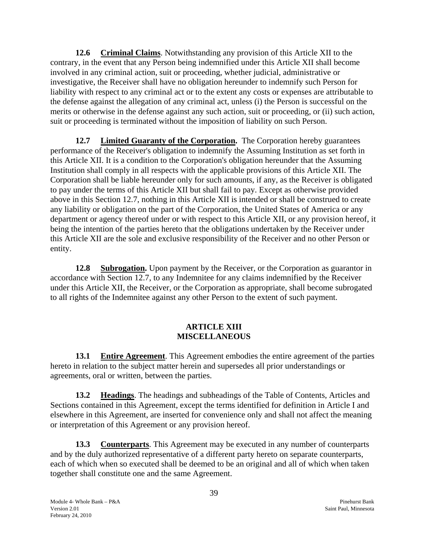<span id="page-42-1"></span>**12.6 Criminal Claims**. Notwithstanding any provision of this Article XII to the contrary, in the event that any Person being indemnified under this Article XII shall become involved in any criminal action, suit or proceeding, whether judicial, administrative or investigative, the Receiver shall have no obligation hereunder to indemnify such Person for liability with respect to any criminal act or to the extent any costs or expenses are attributable to the defense against the allegation of any criminal act, unless (i) the Person is successful on the merits or otherwise in the defense against any such action, suit or proceeding, or (ii) such action, suit or proceeding is terminated without the imposition of liability on such Person.

<span id="page-42-2"></span>**12.7 Limited Guaranty of the Corporation.** The Corporation hereby guarantees performance of the Receiver's obligation to indemnify the Assuming Institution as set forth in this Article XII. It is a condition to the Corporation's obligation hereunder that the Assuming Institution shall comply in all respects with the applicable provisions of this Article XII. The Corporation shall be liable hereunder only for such amounts, if any, as the Receiver is obligated to pay under the terms of this Article XII but shall fail to pay. Except as otherwise provided above in this Section 12.7, nothing in this Article XII is intended or shall be construed to create any liability or obligation on the part of the Corporation, the United States of America or any department or agency thereof under or with respect to this Article XII, or any provision hereof, it being the intention of the parties hereto that the obligations undertaken by the Receiver under this Article XII are the sole and exclusive responsibility of the Receiver and no other Person or entity.

<span id="page-42-3"></span><span id="page-42-0"></span>**12.8 Subrogation.** Upon payment by the Receiver, or the Corporation as guarantor in accordance with Section 12.7, to any Indemnitee for any claims indemnified by the Receiver under this Article XII, the Receiver, or the Corporation as appropriate, shall become subrogated to all rights of the Indemnitee against any other Person to the extent of such payment.

## **ARTICLE XIII MISCELLANEOUS**

<span id="page-42-5"></span><span id="page-42-4"></span>**13.1 Entire Agreement**. This Agreement embodies the entire agreement of the parties hereto in relation to the subject matter herein and supersedes all prior understandings or agreements, oral or written, between the parties.

<span id="page-42-6"></span>**13.2 Headings**. The headings and subheadings of the Table of Contents, Articles and Sections contained in this Agreement, except the terms identified for definition in Article I and elsewhere in this Agreement, are inserted for convenience only and shall not affect the meaning or interpretation of this Agreement or any provision hereof.

<span id="page-42-7"></span>**13.3 Counterparts**. This Agreement may be executed in any number of counterparts and by the duly authorized representative of a different party hereto on separate counterparts, each of which when so executed shall be deemed to be an original and all of which when taken together shall constitute one and the same Agreement.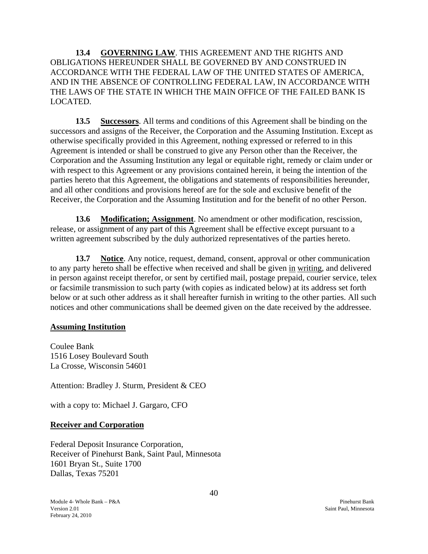<span id="page-43-0"></span> **13.4 GOVERNING LAW**. THIS AGREEMENT AND THE RIGHTS AND OBLIGATIONS HEREUNDER SHALL BE GOVERNED BY AND CONSTRUED IN ACCORDANCE WITH THE FEDERAL LAW OF THE UNITED STATES OF AMERICA, AND IN THE ABSENCE OF CONTROLLING FEDERAL LAW, IN ACCORDANCE WITH THE LAWS OF THE STATE IN WHICH THE MAIN OFFICE OF THE FAILED BANK IS LOCATED.

<span id="page-43-1"></span>**13.5 Successors**. All terms and conditions of this Agreement shall be binding on the successors and assigns of the Receiver, the Corporation and the Assuming Institution. Except as otherwise specifically provided in this Agreement, nothing expressed or referred to in this Agreement is intended or shall be construed to give any Person other than the Receiver, the Corporation and the Assuming Institution any legal or equitable right, remedy or claim under or with respect to this Agreement or any provisions contained herein, it being the intention of the parties hereto that this Agreement, the obligations and statements of responsibilities hereunder, and all other conditions and provisions hereof are for the sole and exclusive benefit of the Receiver, the Corporation and the Assuming Institution and for the benefit of no other Person.

<span id="page-43-2"></span>**13.6 Modification; Assignment**. No amendment or other modification, rescission, release, or assignment of any part of this Agreement shall be effective except pursuant to a written agreement subscribed by the duly authorized representatives of the parties hereto.

<span id="page-43-3"></span>**13.7 Notice**. Any notice, request, demand, consent, approval or other communication to any party hereto shall be effective when received and shall be given in writing, and delivered in person against receipt therefor, or sent by certified mail, postage prepaid, courier service, telex or facsimile transmission to such party (with copies as indicated below) at its address set forth below or at such other address as it shall hereafter furnish in writing to the other parties. All such notices and other communications shall be deemed given on the date received by the addressee.

#### **Assuming Institution**

Coulee Bank 1516 Losey Boulevard South La Crosse, Wisconsin 54601

Attention: Bradley J. Sturm, President & CEO

with a copy to: Michael J. Gargaro, CFO

## **Receiver and Corporation**

Federal Deposit Insurance Corporation, Receiver of Pinehurst Bank, Saint Paul, Minnesota 1601 Bryan St., Suite 1700 Dallas, Texas 75201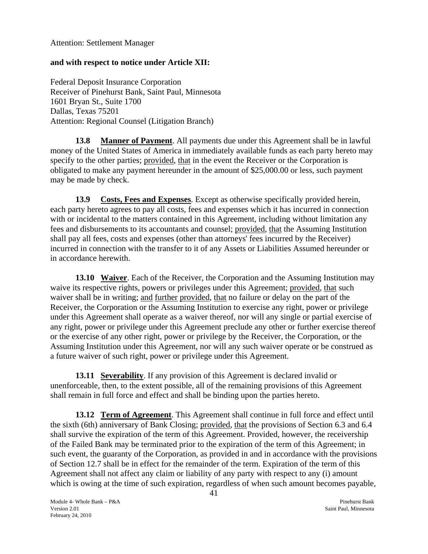Attention: Settlement Manager

## **and with respect to notice under Article XII:**

Federal Deposit Insurance Corporation Receiver of Pinehurst Bank, Saint Paul, Minnesota 1601 Bryan St., Suite 1700 Dallas, Texas 75201 Attention: Regional Counsel (Litigation Branch)

<span id="page-44-0"></span>**13.8** Manner of Payment. All payments due under this Agreement shall be in lawful money of the United States of America in immediately available funds as each party hereto may specify to the other parties; provided, that in the event the Receiver or the Corporation is obligated to make any payment hereunder in the amount of \$25,000.00 or less, such payment may be made by check.

<span id="page-44-1"></span>**13.9 Costs, Fees and Expenses**. Except as otherwise specifically provided herein, each party hereto agrees to pay all costs, fees and expenses which it has incurred in connection with or incidental to the matters contained in this Agreement, including without limitation any fees and disbursements to its accountants and counsel; provided, that the Assuming Institution shall pay all fees, costs and expenses (other than attorneys' fees incurred by the Receiver) incurred in connection with the transfer to it of any Assets or Liabilities Assumed hereunder or in accordance herewith.

<span id="page-44-2"></span>**13.10 Waiver**. Each of the Receiver, the Corporation and the Assuming Institution may waive its respective rights, powers or privileges under this Agreement; provided, that such waiver shall be in writing; and further provided, that no failure or delay on the part of the Receiver, the Corporation or the Assuming Institution to exercise any right, power or privilege under this Agreement shall operate as a waiver thereof, nor will any single or partial exercise of any right, power or privilege under this Agreement preclude any other or further exercise thereof or the exercise of any other right, power or privilege by the Receiver, the Corporation, or the Assuming Institution under this Agreement, nor will any such waiver operate or be construed as a future waiver of such right, power or privilege under this Agreement.

<span id="page-44-3"></span>**13.11 Severability**. If any provision of this Agreement is declared invalid or unenforceable, then, to the extent possible, all of the remaining provisions of this Agreement shall remain in full force and effect and shall be binding upon the parties hereto.

<span id="page-44-4"></span>**13.12 Term of Agreement**. This Agreement shall continue in full force and effect until the sixth (6th) anniversary of Bank Closing; provided, that the provisions of Section 6.3 and 6.4 shall survive the expiration of the term of this Agreement. Provided, however, the receivership of the Failed Bank may be terminated prior to the expiration of the term of this Agreement; in such event, the guaranty of the Corporation, as provided in and in accordance with the provisions of Section 12.7 shall be in effect for the remainder of the term. Expiration of the term of this Agreement shall not affect any claim or liability of any party with respect to any (i) amount which is owing at the time of such expiration, regardless of when such amount becomes payable,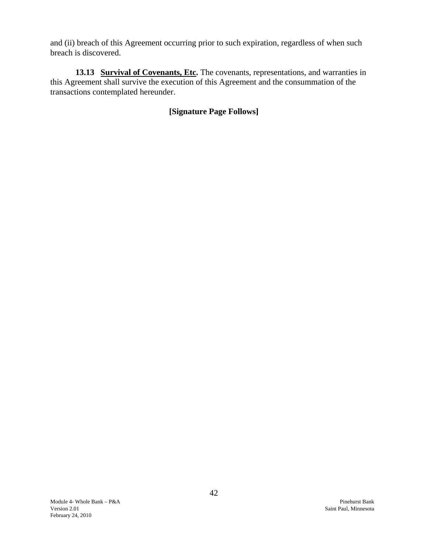and (ii) breach of this Agreement occurring prior to such expiration, regardless of when such breach is discovered.

<span id="page-45-0"></span>**13.13 Survival of Covenants, Etc.** The covenants, representations, and warranties in this Agreement shall survive the execution of this Agreement and the consummation of the transactions contemplated hereunder.

# **[Signature Page Follows]**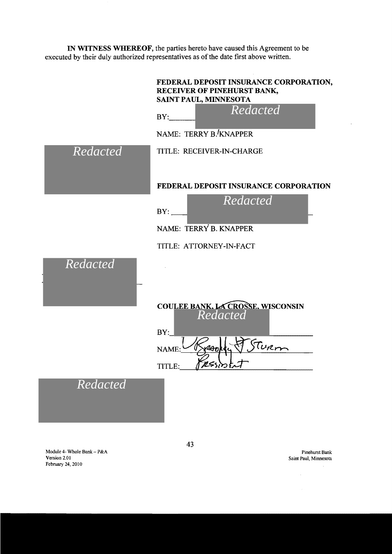**IN WITNESS WHEREOF,** the parties hereto have caused this Agreement to be executed by their duly authorized representatives as of the date first above written.



Pinehurst Bank

 $\bar{\mathcal{A}}$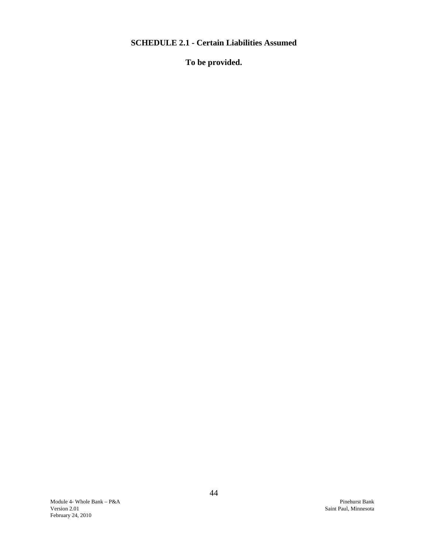# <span id="page-47-0"></span>**SCHEDULE 2.1 - Certain Liabilities Assumed**

**To be provided.**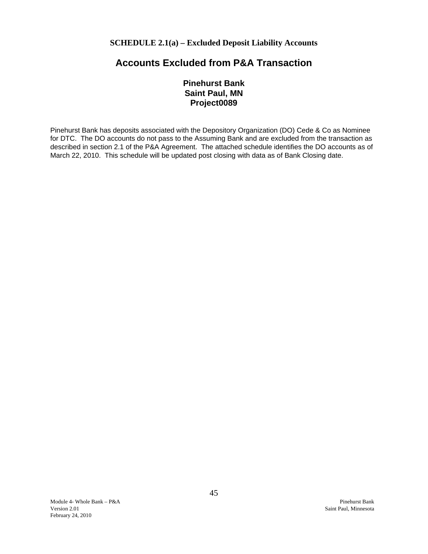**SCHEDULE 2.1(a) – Excluded Deposit Liability Accounts** 

# **Accounts Excluded from P&A Transaction**

## **Pinehurst Bank Saint Paul, MN Project0089**

Pinehurst Bank has deposits associated with the Depository Organization (DO) Cede & Co as Nominee for DTC. The DO accounts do not pass to the Assuming Bank and are excluded from the transaction as described in section 2.1 of the P&A Agreement. The attached schedule identifies the DO accounts as of March 22, 2010. This schedule will be updated post closing with data as of Bank Closing date.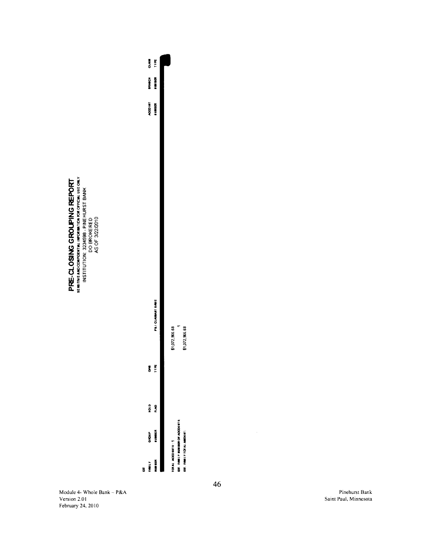

 $\overline{a}$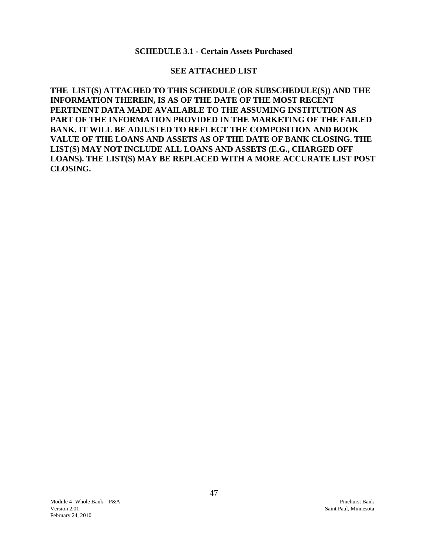#### **SCHEDULE 3.1 - Certain Assets Purchased**

#### **SEE ATTACHED LIST**

<span id="page-50-0"></span>**THE LIST(S) ATTACHED TO THIS SCHEDULE (OR SUBSCHEDULE(S)) AND THE INFORMATION THEREIN, IS AS OF THE DATE OF THE MOST RECENT PERTINENT DATA MADE AVAILABLE TO THE ASSUMING INSTITUTION AS PART OF THE INFORMATION PROVIDED IN THE MARKETING OF THE FAILED BANK. IT WILL BE ADJUSTED TO REFLECT THE COMPOSITION AND BOOK VALUE OF THE LOANS AND ASSETS AS OF THE DATE OF BANK CLOSING. THE LIST(S) MAY NOT INCLUDE ALL LOANS AND ASSETS (E.G., CHARGED OFF LOANS). THE LIST(S) MAY BE REPLACED WITH A MORE ACCURATE LIST POST CLOSING.**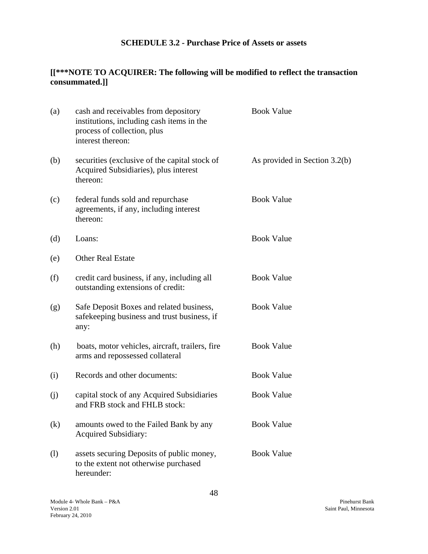# **SCHEDULE 3.2 - Purchase Price of Assets or assets**

# <span id="page-51-0"></span>**[[\*\*\*NOTE TO ACQUIRER: The following will be modified to reflect the transaction consummated.]]**

| (a) | cash and receivables from depository<br>institutions, including cash items in the<br>process of collection, plus<br>interest thereon: | <b>Book Value</b>               |
|-----|---------------------------------------------------------------------------------------------------------------------------------------|---------------------------------|
| (b) | securities (exclusive of the capital stock of<br>Acquired Subsidiaries), plus interest<br>thereon:                                    | As provided in Section $3.2(b)$ |
| (c) | federal funds sold and repurchase<br>agreements, if any, including interest<br>thereon:                                               | <b>Book Value</b>               |
| (d) | Loans:                                                                                                                                | <b>Book Value</b>               |
| (e) | <b>Other Real Estate</b>                                                                                                              |                                 |
| (f) | credit card business, if any, including all<br>outstanding extensions of credit:                                                      | <b>Book Value</b>               |
| (g) | Safe Deposit Boxes and related business,<br>safekeeping business and trust business, if<br>any:                                       | <b>Book Value</b>               |
| (h) | boats, motor vehicles, aircraft, trailers, fire<br>arms and repossessed collateral                                                    | <b>Book Value</b>               |
| (i) | Records and other documents:                                                                                                          | <b>Book Value</b>               |
| (i) | capital stock of any Acquired Subsidiaries<br>and FRB stock and FHLB stock:                                                           | <b>Book Value</b>               |
| (k) | amounts owed to the Failed Bank by any<br><b>Acquired Subsidiary:</b>                                                                 | <b>Book Value</b>               |
| (1) | assets securing Deposits of public money,<br>to the extent not otherwise purchased<br>hereunder:                                      | <b>Book Value</b>               |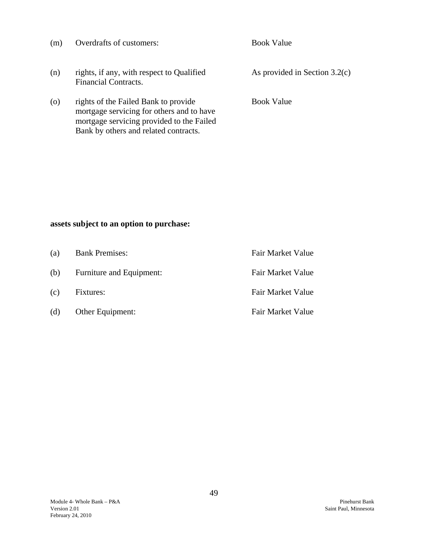| (m)                | Overdrafts of customers:                                                                                                                                                | <b>Book Value</b>               |
|--------------------|-------------------------------------------------------------------------------------------------------------------------------------------------------------------------|---------------------------------|
| (n)                | rights, if any, with respect to Qualified<br><b>Financial Contracts.</b>                                                                                                | As provided in Section $3.2(c)$ |
| $\left( 0 \right)$ | rights of the Failed Bank to provide<br>mortgage servicing for others and to have<br>mortgage servicing provided to the Failed<br>Bank by others and related contracts. | <b>Book Value</b>               |

# **assets subject to an option to purchase:**

| (a) | <b>Bank Premises:</b>    | Fair Market Value |
|-----|--------------------------|-------------------|
| (b) | Furniture and Equipment: | Fair Market Value |
| (c) | Fixtures:                | Fair Market Value |
| (d) | Other Equipment:         | Fair Market Value |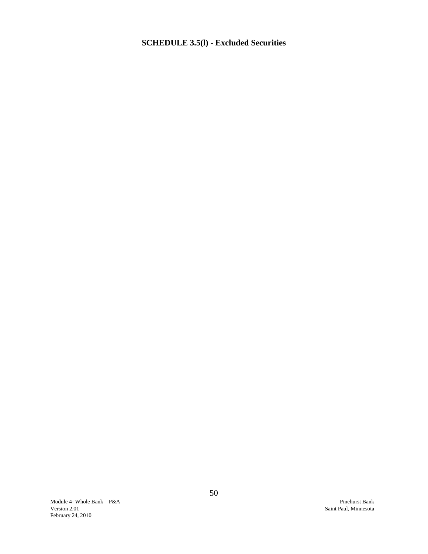**SCHEDULE 3.5(l) - Excluded Securities**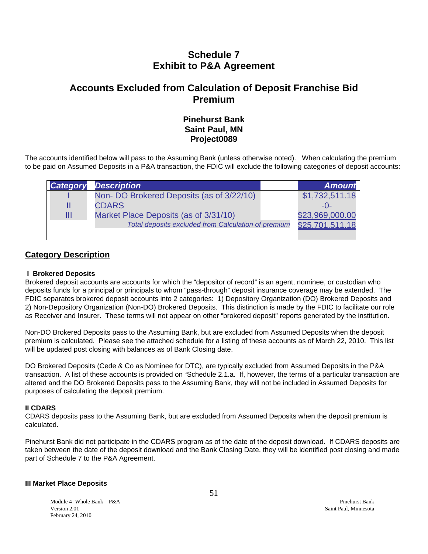# **Schedule 7 Exhibit to P&A Agreement**

# **Accounts Excluded from Calculation of Deposit Franchise Bid Premium**

# **Pinehurst Bank Saint Paul, MN Project0089**

The accounts identified below will pass to the Assuming Bank (unless otherwise noted). When calculating the premium to be paid on Assumed Deposits in a P&A transaction, the FDIC will exclude the following categories of deposit accounts:

| <b>Category</b> | <b>Description</b>                                  | <b>Amount</b>   |
|-----------------|-----------------------------------------------------|-----------------|
|                 | Non- DO Brokered Deposits (as of 3/22/10)           | \$1,732,511.18  |
|                 | <b>CDARS</b>                                        | $-0-$           |
| Ш               | Market Place Deposits (as of 3/31/10)               | \$23,969,000.00 |
|                 | Total deposits excluded from Calculation of premium | \$25,701,511,18 |
|                 |                                                     |                 |

#### **Category Description**

#### **I Brokered Deposits**

Brokered deposit accounts are accounts for which the "depositor of record" is an agent, nominee, or custodian who deposits funds for a principal or principals to whom "pass-through" deposit insurance coverage may be extended. The FDIC separates brokered deposit accounts into 2 categories: 1) Depository Organization (DO) Brokered Deposits and 2) Non-Depository Organization (Non-DO) Brokered Deposits. This distinction is made by the FDIC to facilitate our role as Receiver and Insurer. These terms will not appear on other "brokered deposit" reports generated by the institution.

Non-DO Brokered Deposits pass to the Assuming Bank, but are excluded from Assumed Deposits when the deposit premium is calculated. Please see the attached schedule for a listing of these accounts as of March 22, 2010. This list will be updated post closing with balances as of Bank Closing date.

DO Brokered Deposits (Cede & Co as Nominee for DTC), are typically excluded from Assumed Deposits in the P&A transaction. A list of these accounts is provided on "Schedule 2.1.a. If, however, the terms of a particular transaction are altered and the DO Brokered Deposits pass to the Assuming Bank, they will not be included in Assumed Deposits for purposes of calculating the deposit premium.

#### **II CDARS**

CDARS deposits pass to the Assuming Bank, but are excluded from Assumed Deposits when the deposit premium is calculated.

Pinehurst Bank did not participate in the CDARS program as of the date of the deposit download. If CDARS deposits are taken between the date of the deposit download and the Bank Closing Date, they will be identified post closing and made part of Schedule 7 to the P&A Agreement.

#### **III Market Place Deposits**

Module 4- Whole Bank – P&A Pinehurst Bank Version 2.01 Saint Paul, Minnesota February 24, 2010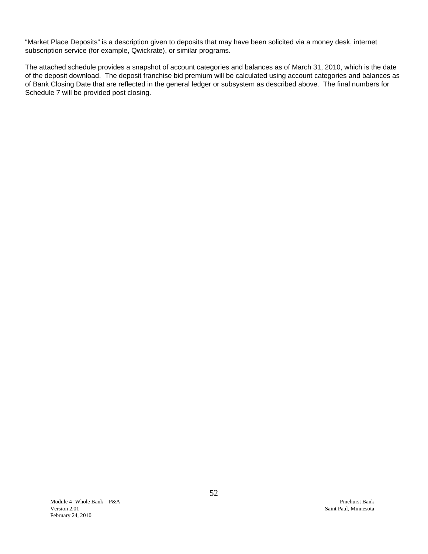"Market Place Deposits" is a description given to deposits that may have been solicited via a money desk, internet subscription service (for example, Qwickrate), or similar programs.

The attached schedule provides a snapshot of account categories and balances as of March 31, 2010, which is the date of the deposit download. The deposit franchise bid premium will be calculated using account categories and balances as of Bank Closing Date that are reflected in the general ledger or subsystem as described above. The final numbers for Schedule 7 will be provided post closing.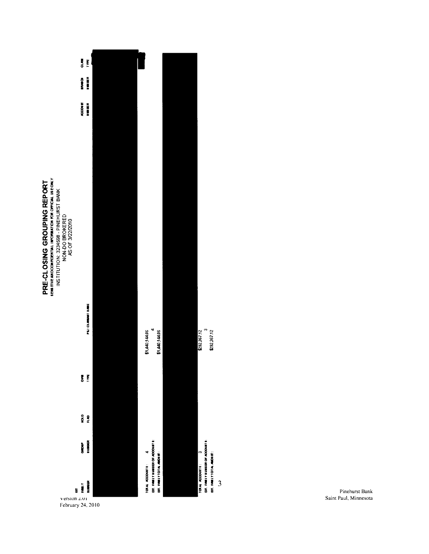

February 24, 20 I 0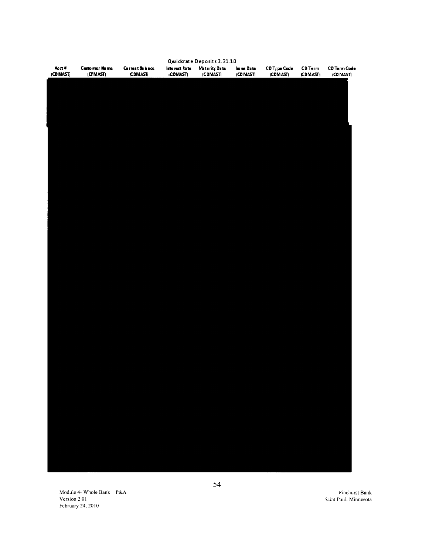| Qwickrate Deposits 3.31.10 |                            |                                   |                           |                                  |                                |                         |                          |                                         |
|----------------------------|----------------------------|-----------------------------------|---------------------------|----------------------------------|--------------------------------|-------------------------|--------------------------|-----------------------------------------|
| Acct #<br>(OD MAST)        | Custo mer Name<br>(CFMAST) | Carrent Balance<br><b>CDMASTI</b> | Interest Rate<br>(CDMAST) | Maturity Date<br><b>ICDMASTI</b> | bs ac Date<br><b>ICD MASTI</b> | CD Type Code<br>CDMAST) | CDTerm<br><b>CDMAST:</b> | <b>CD Term Code</b><br><b>ICD MAST)</b> |
|                            |                            |                                   |                           |                                  |                                |                         |                          |                                         |
|                            |                            |                                   |                           |                                  |                                |                         |                          |                                         |
|                            |                            |                                   |                           |                                  |                                |                         |                          |                                         |
|                            |                            |                                   |                           |                                  |                                |                         |                          |                                         |
|                            |                            |                                   |                           |                                  |                                |                         |                          |                                         |
|                            |                            |                                   |                           |                                  |                                |                         |                          |                                         |
|                            |                            |                                   |                           |                                  |                                |                         |                          |                                         |
|                            |                            |                                   |                           |                                  |                                |                         |                          |                                         |
|                            |                            |                                   |                           |                                  |                                |                         |                          |                                         |
|                            |                            |                                   |                           |                                  |                                |                         |                          |                                         |
|                            |                            |                                   |                           |                                  |                                |                         |                          |                                         |
|                            |                            |                                   |                           |                                  |                                |                         |                          |                                         |
|                            |                            |                                   |                           |                                  |                                |                         |                          |                                         |
|                            |                            |                                   |                           |                                  |                                |                         |                          |                                         |
|                            |                            |                                   |                           |                                  |                                |                         |                          |                                         |
|                            |                            |                                   |                           |                                  |                                |                         |                          |                                         |
|                            |                            |                                   |                           |                                  |                                |                         |                          |                                         |
|                            |                            |                                   |                           |                                  |                                |                         |                          |                                         |
|                            |                            |                                   |                           |                                  |                                |                         |                          |                                         |
|                            |                            |                                   |                           |                                  |                                |                         |                          |                                         |
|                            |                            |                                   |                           |                                  |                                |                         |                          |                                         |
|                            |                            |                                   |                           |                                  |                                |                         |                          |                                         |
|                            |                            |                                   |                           |                                  |                                |                         |                          |                                         |
|                            |                            |                                   |                           |                                  |                                |                         |                          |                                         |
|                            |                            |                                   |                           |                                  |                                |                         |                          |                                         |
|                            |                            |                                   |                           |                                  |                                |                         |                          |                                         |
|                            |                            |                                   |                           |                                  |                                |                         |                          |                                         |
|                            |                            |                                   |                           |                                  |                                |                         |                          |                                         |
|                            |                            |                                   |                           |                                  |                                |                         |                          |                                         |
|                            |                            |                                   |                           |                                  |                                |                         |                          |                                         |
|                            |                            |                                   |                           |                                  |                                |                         |                          |                                         |
|                            |                            |                                   |                           |                                  |                                |                         |                          |                                         |
|                            |                            |                                   |                           |                                  |                                |                         |                          |                                         |
|                            |                            |                                   |                           |                                  |                                |                         |                          |                                         |
|                            |                            |                                   |                           |                                  |                                |                         |                          |                                         |
|                            |                            |                                   |                           |                                  |                                |                         |                          |                                         |
|                            |                            |                                   |                           |                                  |                                |                         |                          |                                         |
|                            |                            |                                   |                           |                                  |                                |                         |                          |                                         |
|                            |                            |                                   |                           |                                  |                                |                         |                          |                                         |

Module 4- Whole Bank - P&A Pinchurst Bank Panchurst Bank Pinchurst Bank Pinchurst Bank Pinchurst Bank Pinchurst Bank Pinchurst Bank Panchurst Bank Pinchurst Bank Pinchurst Bank Pinchurst Bank Pinchurst Bank Pinchurst Bank February 24, 2010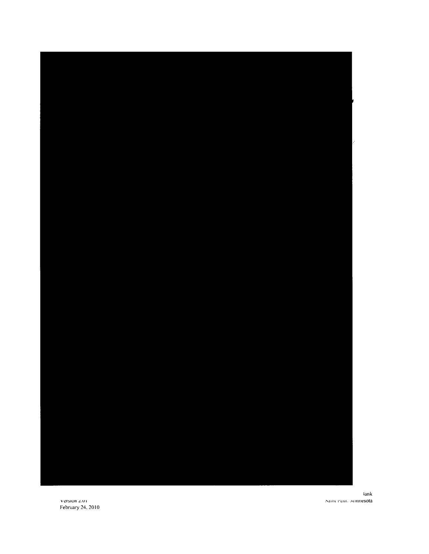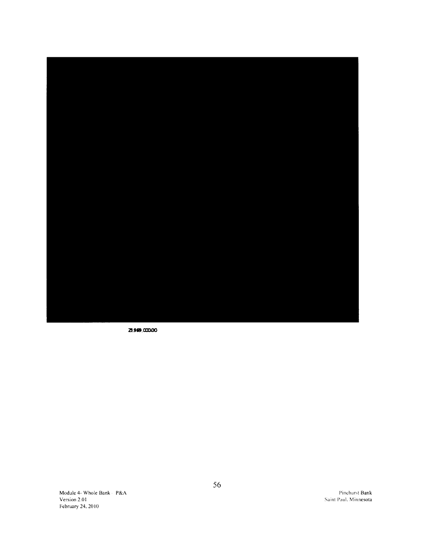

2009.00000

Module 4- Whole Bank P&A Piidiurst Bank Part of the Second Pinchurst Bank Pinchurst Bank Pinchurst Bank Pinchurst Bank Version 2.01<br>February 24, 2010

Saint Paul. Minnesota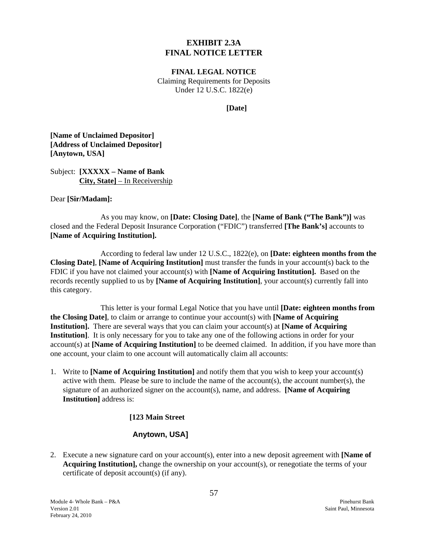# **EXHIBIT 2.3A FINAL NOTICE LETTER**

**FINAL LEGAL NOTICE** 

Claiming Requirements for Deposits Under 12 U.S.C. 1822(e)

**[Date]** 

**[Name of Unclaimed Depositor] [Address of Unclaimed Depositor] [Anytown, USA]** 

Subject: **[XXXXX – Name of Bank City, State]** – In Receivership

Dear **[Sir/Madam]:** 

As you may know, on **[Date: Closing Date]**, the **[Name of Bank ("The Bank")]** was closed and the Federal Deposit Insurance Corporation ("FDIC") transferred **[The Bank's]** accounts to **[Name of Acquiring Institution].** 

According to federal law under 12 U.S.C., 1822(e), on **[Date: eighteen months from the Closing Date]**, **[Name of Acquiring Institution]** must transfer the funds in your account(s) back to the FDIC if you have not claimed your account(s) with **[Name of Acquiring Institution].** Based on the records recently supplied to us by **[Name of Acquiring Institution]**, your account(s) currently fall into this category.

This letter is your formal Legal Notice that you have until **[Date: eighteen months from the Closing Date]**, to claim or arrange to continue your account(s) with **[Name of Acquiring Institution].** There are several ways that you can claim your account(s) at **[Name of Acquiring Institution]**. It is only necessary for you to take any one of the following actions in order for your account(s) at **[Name of Acquiring Institution]** to be deemed claimed. In addition, if you have more than one account, your claim to one account will automatically claim all accounts:

1. Write to **[Name of Acquiring Institution**] and notify them that you wish to keep your account(s) active with them. Please be sure to include the name of the account(s), the account number(s), the signature of an authorized signer on the account(s), name, and address. **[Name of Acquiring Institution]** address is:

#### **[123 Main Street**

#### **Anytown, USA]**

2. Execute a new signature card on your account(s), enter into a new deposit agreement with **[Name of Acquiring Institution],** change the ownership on your account(s), or renegotiate the terms of your certificate of deposit account(s) (if any).

Module 4- Whole Bank – P&A Pinehurst Bank Version 2.01 Saint Paul, Minnesota February 24, 2010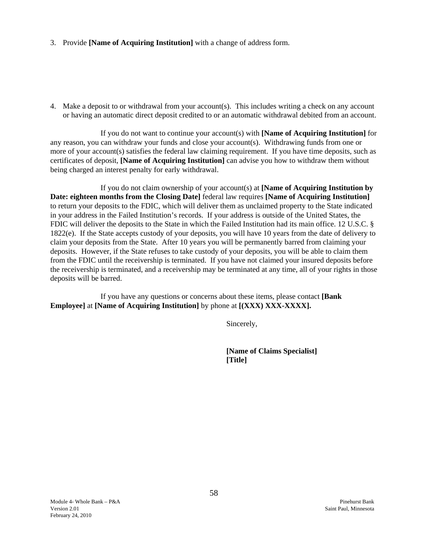- 3. Provide **[Name of Acquiring Institution]** with a change of address form.
- 4. Make a deposit to or withdrawal from your account(s). This includes writing a check on any account or having an automatic direct deposit credited to or an automatic withdrawal debited from an account.

If you do not want to continue your account(s) with **[Name of Acquiring Institution]** for any reason, you can withdraw your funds and close your account(s). Withdrawing funds from one or more of your account(s) satisfies the federal law claiming requirement. If you have time deposits, such as certificates of deposit, **[Name of Acquiring Institution]** can advise you how to withdraw them without being charged an interest penalty for early withdrawal.

If you do not claim ownership of your account(s) at **[Name of Acquiring Institution by Date: eighteen months from the Closing Date]** federal law requires **[Name of Acquiring Institution]**  to return your deposits to the FDIC, which will deliver them as unclaimed property to the State indicated in your address in the Failed Institution's records. If your address is outside of the United States, the FDIC will deliver the deposits to the State in which the Failed Institution had its main office. 12 U.S.C. § 1822(e). If the State accepts custody of your deposits, you will have 10 years from the date of delivery to claim your deposits from the State. After 10 years you will be permanently barred from claiming your deposits. However, if the State refuses to take custody of your deposits, you will be able to claim them from the FDIC until the receivership is terminated. If you have not claimed your insured deposits before the receivership is terminated, and a receivership may be terminated at any time, all of your rights in those deposits will be barred.

If you have any questions or concerns about these items, please contact **[Bank Employee]** at **[Name of Acquiring Institution]** by phone at **[(XXX) XXX-XXXX].** 

Sincerely,

**[Name of Claims Specialist] [Title]**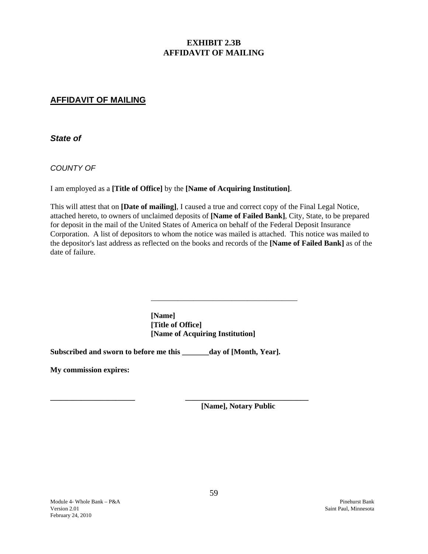# **EXHIBIT 2.3B AFFIDAVIT OF MAILING**

## **AFFIDAVIT OF MAILING**

*State of* 

*COUNTY OF* 

I am employed as a **[Title of Office]** by the **[Name of Acquiring Institution]**.

This will attest that on **[Date of mailing]**, I caused a true and correct copy of the Final Legal Notice, attached hereto, to owners of unclaimed deposits of **[Name of Failed Bank]**, City, State, to be prepared for deposit in the mail of the United States of America on behalf of the Federal Deposit Insurance Corporation. A list of depositors to whom the notice was mailed is attached. This notice was mailed to the depositor's last address as reflected on the books and records of the **[Name of Failed Bank]** as of the date of failure.

> **[Name] [Title of Office] [Name of Acquiring Institution]**

**Subscribed and sworn to before me this \_\_\_\_\_\_\_day of [Month, Year].** 

 $\overline{\phantom{a}}$  ,  $\overline{\phantom{a}}$  ,  $\overline{\phantom{a}}$  ,  $\overline{\phantom{a}}$  ,  $\overline{\phantom{a}}$  ,  $\overline{\phantom{a}}$  ,  $\overline{\phantom{a}}$  ,  $\overline{\phantom{a}}$  ,  $\overline{\phantom{a}}$  ,  $\overline{\phantom{a}}$  ,  $\overline{\phantom{a}}$  ,  $\overline{\phantom{a}}$  ,  $\overline{\phantom{a}}$  ,  $\overline{\phantom{a}}$  ,  $\overline{\phantom{a}}$  ,  $\overline{\phantom{a}}$ 

**My commission expires:** 

**\_\_\_\_\_\_\_\_\_\_\_\_\_\_\_\_\_\_\_\_\_\_ \_\_\_\_\_\_\_\_\_\_\_\_\_\_\_\_\_\_\_\_\_\_\_\_\_\_\_\_\_\_\_\_ [Name], Notary Public**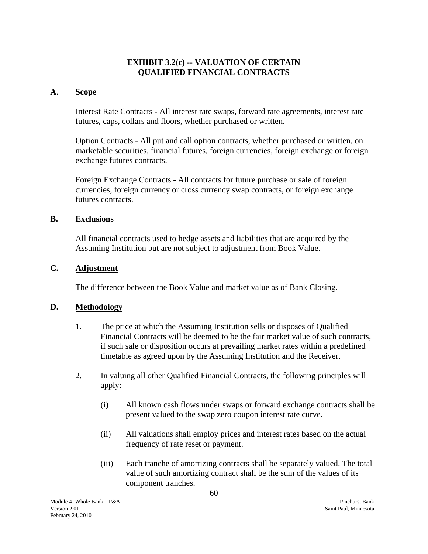# **EXHIBIT 3.2(c) -- VALUATION OF CERTAIN QUALIFIED FINANCIAL CONTRACTS**

#### <span id="page-63-0"></span>**A**. **Scope**

Interest Rate Contracts - All interest rate swaps, forward rate agreements, interest rate futures, caps, collars and floors, whether purchased or written.

Option Contracts - All put and call option contracts, whether purchased or written, on marketable securities, financial futures, foreign currencies, foreign exchange or foreign exchange futures contracts.

Foreign Exchange Contracts - All contracts for future purchase or sale of foreign currencies, foreign currency or cross currency swap contracts, or foreign exchange futures contracts.

#### **B. Exclusions**

All financial contracts used to hedge assets and liabilities that are acquired by the Assuming Institution but are not subject to adjustment from Book Value.

#### C. Adjustment

The difference between the Book Value and market value as of Bank Closing.

## **D. Methodology**

- 1. The price at which the Assuming Institution sells or disposes of Qualified Financial Contracts will be deemed to be the fair market value of such contracts, if such sale or disposition occurs at prevailing market rates within a predefined timetable as agreed upon by the Assuming Institution and the Receiver.
- 2. In valuing all other Qualified Financial Contracts, the following principles will apply:
	- (i) All known cash flows under swaps or forward exchange contracts shall be present valued to the swap zero coupon interest rate curve.
	- (ii) All valuations shall employ prices and interest rates based on the actual frequency of rate reset or payment.
	- (iii) Each tranche of amortizing contracts shall be separately valued. The total value of such amortizing contract shall be the sum of the values of its component tranches.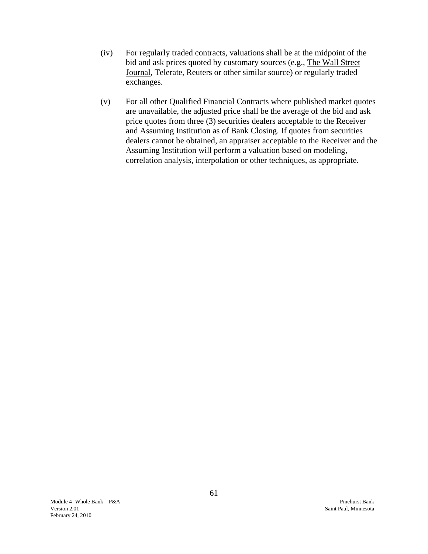- (iv) For regularly traded contracts, valuations shall be at the midpoint of the bid and ask prices quoted by customary sources (e.g., The Wall Street Journal, Telerate, Reuters or other similar source) or regularly traded exchanges.
- (v) For all other Qualified Financial Contracts where published market quotes are unavailable, the adjusted price shall be the average of the bid and ask price quotes from three (3) securities dealers acceptable to the Receiver and Assuming Institution as of Bank Closing. If quotes from securities dealers cannot be obtained, an appraiser acceptable to the Receiver and the Assuming Institution will perform a valuation based on modeling, correlation analysis, interpolation or other techniques, as appropriate.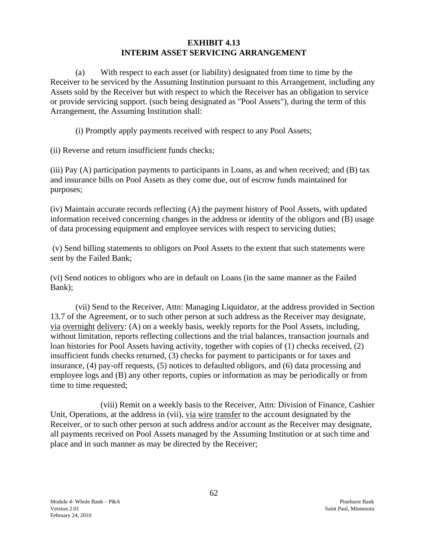## **EXHIBIT 4.13 INTERIM ASSET SERVICING ARRANGEMENT**

<span id="page-65-0"></span>(a) With respect to each asset (or liability) designated from time to time by the Receiver to be serviced by the Assuming Institution pursuant to this Arrangement, including any Assets sold by the Receiver but with respect to which the Receiver has an obligation to service or provide servicing support. (such being designated as "Pool Assets"), during the term of this Arrangement, the Assuming Institution shall:

(i) Promptly apply payments received with respect to any Pool Assets;

(ii) Reverse and return insufficient funds checks;

(iii) Pay (A) participation payments to participants in Loans, as and when received; and (B) tax and insurance bills on Pool Assets as they come due, out of escrow funds maintained for purposes;

(iv) Maintain accurate records reflecting (A) the payment history of Pool Assets, with updated information received concerning changes in the address or identity of the obligors and (B) usage of data processing equipment and employee services with respect to servicing duties;

(v) Send billing statements to obligors on Pool Assets to the extent that such statements were sent by the Failed Bank;

(vi) Send notices to obligors who are in default on Loans (in the same manner as the Failed Bank);

(vii) Send to the Receiver, Attn: Managing Liquidator, at the address provided in Section 13.7 of the Agreement, or to such other person at such address as the Receiver may designate, via overnight delivery: (A) on a weekly basis, weekly reports for the Pool Assets, including, without limitation, reports reflecting collections and the trial balances, transaction journals and loan histories for Pool Assets having activity, together with copies of (1) checks received, (2) insufficient funds checks returned, (3) checks for payment to participants or for taxes and insurance, (4) pay-off requests, (5) notices to defaulted obligors, and (6) data processing and employee logs and (B) any other reports, copies or information as may be periodically or from time to time requested;

(viii) Remit on a weekly basis to the Receiver, Attn: Division of Finance, Cashier Unit, Operations, at the address in (vii), via wire transfer to the account designated by the Receiver, or to such other person at such address and/or account as the Receiver may designate, all payments received on Pool Assets managed by the Assuming Institution or at such time and place and in such manner as may be directed by the Receiver;